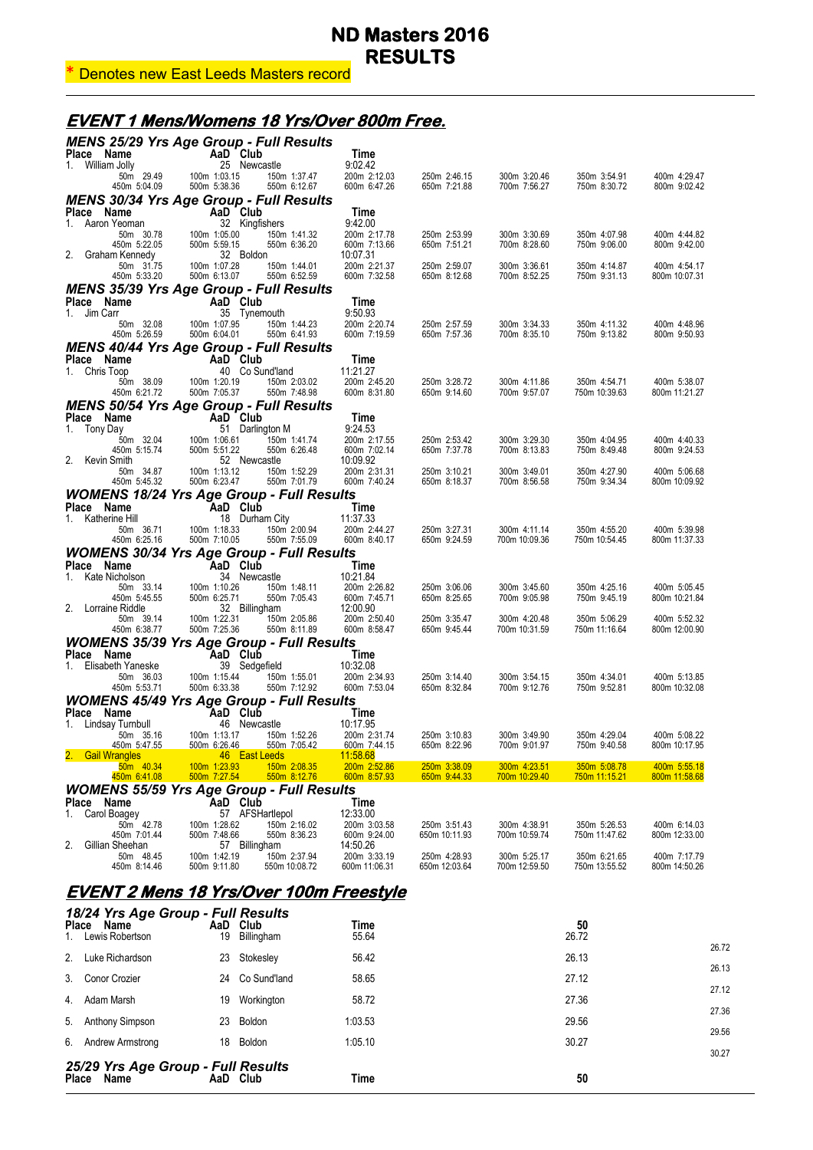## \* Denotes new East Leeds Masters record

## **EVENT 1 Mens/Womens 18 Yrs/Over 800m Free.**

| <b>MENS 25/29 Yrs Age Group - Full Results</b>    |                                           |                                 |                                          |                               |                               |                               |                               |
|---------------------------------------------------|-------------------------------------------|---------------------------------|------------------------------------------|-------------------------------|-------------------------------|-------------------------------|-------------------------------|
| Place Name<br>1. William Jolly                    | AaD Club<br>25 Newcastle                  |                                 | Time<br>9:02.42                          |                               |                               |                               |                               |
| 50m 29.49<br>450m 5:04.09                         | 100m 1:03.15<br>500m 5:38.36              | 150m 1:37.47<br>550m 6:12.67    | 200m 2:12.03<br>600m 6:47.26             | 250m 2:46.15<br>650m 7:21.88  | 300m 3:20.46<br>700m 7:56.27  | 350m 3:54.91<br>750m 8:30.72  | 400m 4:29.47<br>800m 9:02.42  |
| <b>MENS 30/34 Yrs Age Group - Full Results</b>    |                                           |                                 |                                          |                               |                               |                               |                               |
| Place Name<br>1. Aaron Yeoman                     | AaD Club<br>32 Kingfishers                |                                 | Time<br>9:42.00                          |                               |                               |                               |                               |
| 50m 30.78                                         | 100m 1:05.00                              | 150m 1:41.32                    | 200m 2:17.78                             | 250m 2:53.99                  | 300m 3:30.69                  | 350m 4:07.98                  | 400m 4:44.82                  |
| 450m 5:22.05                                      | 500m 5:59.15                              | 550m 6:36.20                    | 600m 7:13.66                             | 650m 7:51.21                  | 700m 8:28.60                  | 750m 9:06.00                  | 800m 9:42.00                  |
| 2.<br>Graham Kennedy<br>50m 31.75<br>450m 5:33.20 | 32 Boldon<br>100m 1:07.28<br>500m 6:13.07 | 150m 1:44.01<br>550m 6:52.59    | 10:07.31<br>200m 2:21.37<br>600m 7:32.58 | 250m 2:59.07<br>650m 8:12.68  | 300m 3:36.61<br>700m 8:52.25  | 350m 4:14.87<br>750m 9:31.13  | 400m 4:54.17<br>800m 10:07.31 |
| <b>MENS 35/39 Yrs Age Group - Full Results</b>    |                                           |                                 |                                          |                               |                               |                               |                               |
| Place Name                                        | AaD Club                                  |                                 | Time                                     |                               |                               |                               |                               |
| 1. Jim Carr<br>50m 32.08                          | 35 Tynemouth<br>100m 1:07.95              | 150m 1:44.23                    | 9:50.93<br>200m 2:20.74                  | 250m 2:57.59                  | 300m 3:34.33                  | 350m 4:11.32                  | 400m 4:48.96                  |
| 450m 5:26.59                                      | 500m 6:04.01                              | 550m 6:41.93                    | 600m 7:19.59                             | 650m 7:57.36                  | 700m 8:35.10                  | 750m 9:13.82                  | 800m 9:50.93                  |
| <b>MENS 40/44 Yrs Age Group - Full Results</b>    |                                           |                                 |                                          |                               |                               |                               |                               |
| Place<br>Name                                     | AaD Club                                  |                                 | Time                                     |                               |                               |                               |                               |
| 1. Chris Toop<br>50m 38.09                        | 100m 1:20.19                              | 40 Co Sund'land<br>150m 2:03.02 | 11:21.27<br>200m 2:45.20                 | 250m 3:28.72                  | 300m 4:11.86                  | 350m 4:54.71                  | 400m 5:38.07                  |
| 450m 6:21.72                                      | 500m 7:05.37                              | 550m 7:48.98                    | 600m 8:31.80                             | 650m 9:14.60                  | 700m 9:57.07                  | 750m 10:39.63                 | 800m 11:21.27                 |
| <b>MENS 50/54 Yrs Age Group - Full Results</b>    |                                           |                                 |                                          |                               |                               |                               |                               |
| Place<br>Name<br>1. Tony Day                      | AaD Club                                  | 51 Darlington M                 | Time<br>9:24.53                          |                               |                               |                               |                               |
| 50m 32.04                                         | 100m 1:06.61                              | 150m 1:41.74                    | 200m 2:17.55                             | 250m 2:53.42                  | 300m 3:29.30                  | 350m 4:04.95                  | 400m 4:40.33                  |
| 450m 5:15.74                                      | 500m 5:51.22                              | 550m 6:26.48                    | 600m 7:02.14                             | 650m 7:37.78                  | 700m 8:13.83                  | 750m 8:49.48                  | 800m 9:24.53                  |
| 2. Kevin Smith<br>50m 34.87                       | 52 Newcastle<br>100m 1:13.12              | 150m 1:52.29                    | 10:09.92<br>200m 2:31.31                 | 250m 3:10.21                  | 300m 3:49.01                  | 350m 4:27.90                  | 400m 5:06.68                  |
| 450m 5:45.32                                      | 500m 6:23.47                              | 550m 7:01.79                    | 600m 7:40.24                             | 650m 8:18.37                  | 700m 8:56.58                  | 750m 9:34.34                  | 800m 10:09.92                 |
| <b>WOMENS 18/24 Yrs Age Group - Full Results</b>  |                                           |                                 |                                          |                               |                               |                               |                               |
| Place Name                                        | AaD Club                                  |                                 | Time                                     |                               |                               |                               |                               |
| 1. Katherine Hill<br>50m 36.71                    | 18 Durham City<br>100m 1:18.33            | 150m 2:00.94                    | 11:37.33<br>200m 2:44.27                 | 250m 3:27.31                  | 300m 4:11.14                  | 350m 4:55.20                  | 400m 5:39.98                  |
| 450m 6:25.16                                      | 500m 7:10.05                              | 550m 7:55.09                    | 600m 8:40.17                             | 650m 9:24.59                  | 700m 10:09.36                 | 750m 10:54.45                 | 800m 11:37.33                 |
| <b>WOMENS 30/34 Yrs Age Group - Full Results</b>  |                                           |                                 |                                          |                               |                               |                               |                               |
| Place Name                                        | AaD Club                                  |                                 | Time                                     |                               |                               |                               |                               |
| 1.<br>Kate Nicholson<br>50m 33.14                 | 34 Newcastle<br>100m 1:10.26              | 150m 1:48.11                    | 10:21.84<br>200m 2:26.82                 | 250m 3:06.06                  | 300m 3:45.60                  | 350m 4:25.16                  | 400m 5:05.45                  |
| 450m 5:45.55                                      | 500m 6:25.71                              | 550m 7:05.43                    | 600m 7:45.71                             | 650m 8:25.65                  | 700m 9:05.98                  | 750m 9:45.19                  | 800m 10:21.84                 |
| 2. Lorraine Riddle<br>50m 39.14                   | 32 Billingham<br>100m 1:22.31             | 150m 2:05.86                    | 12:00.90<br>200m 2:50.40                 | 250m 3:35.47                  | 300m 4:20.48                  | 350m 5:06.29                  | 400m 5:52.32                  |
| 450m 6:38.77                                      | 500m 7:25.36                              | 550m 8:11.89                    | 600m 8:58.47                             | 650m 9:45.44                  | 700m 10:31.59                 | 750m 11:16.64                 | 800m 12:00.90                 |
| <b>WOMENS 35/39 Yrs Age Group - Full Results</b>  |                                           |                                 |                                          |                               |                               |                               |                               |
| Place<br>Name                                     | AaD Club                                  |                                 | Time                                     |                               |                               |                               |                               |
| Elisabeth Yaneske<br>1.<br>50m 36.03              | 39 Sedgefield<br>100m 1:15.44             | 150m 1:55.01                    | 10:32.08<br>200m 2:34.93                 | 250m 3:14.40                  | 300m 3:54.15                  | 350m 4:34.01                  | 400m 5:13.85                  |
| 450m 5:53.71                                      | 500m 6:33.38                              | 550m 7:12.92                    | 600m 7:53.04                             | 650m 8:32.84                  | 700m 9:12.76                  | 750m 9:52.81                  | 800m 10:32.08                 |
| <b>WOMENS 45/49 Yrs Age Group - Full Results</b>  |                                           |                                 |                                          |                               |                               |                               |                               |
| Place Name                                        | AaD Club                                  |                                 | Time                                     |                               |                               |                               |                               |
| 1. Lindsay Turnbull<br>50m 35.16                  | 46 Newcastle<br>100m 1:13.17              | 150m 1:52.26                    | 10:17.95<br>200m 2:31.74                 | 250m 3:10.83                  | 300m 3:49.90                  | 350m 4:29.04                  | 400m 5:08.22                  |
| 450m 5:47.55                                      | 500m 6:26.46                              | 550m 7:05.42                    | 600m 7:44.15                             | 650m 8:22.96                  | 700m 9:01.97                  | 750m 9:40.58                  | 800m 10:17.95                 |
| <b>Gail Wrangles</b><br>50m 40.34                 | 46 East Leeds<br>100m 1:23.93             | 150m 2:08.35                    | <u>11:58.68</u>                          |                               |                               |                               | 400m 5:55.18                  |
| 450m 6:41.08                                      | 500m 7:27.54                              | 550m 8:12.76                    | 200m 2:52.86<br>600m 8:57.93             | 250m 3:38.09<br>650m 9:44.33  | 300m 4:23.51<br>700m 10:29.40 | 350m 5:08.78<br>750m 11:15.21 | 800m 11:58.68                 |
| <b>WOMENS 55/59 Yrs Age Group - Full Results</b>  |                                           |                                 |                                          |                               |                               |                               |                               |
| Place Name                                        | AaD Club                                  |                                 | Time                                     |                               |                               |                               |                               |
| Carol Boagey<br>1.<br>50m 42.78                   | 100m 1:28.62                              | 57 AFSHartlepol<br>150m 2:16.02 | 12:33.00<br>200m 3:03.58                 | 250m 3:51.43                  | 300m 4:38.91                  | 350m 5:26.53                  | 400m 6:14.03                  |
| 450m 7:01.44                                      | 500m 7:48.66                              | 550m 8:36.23                    | 600m 9:24.00                             | 650m 10:11.93                 | 700m 10:59.74                 | 750m 11:47.62                 | 800m 12:33.00                 |
| 2.<br>Gillian Sheehan                             | 57 Billingham                             |                                 | 14:50.26                                 |                               |                               |                               |                               |
| 50m 48.45<br>450m 8:14.46                         | 100m 1:42.19<br>500m 9:11.80              | 150m 2:37.94<br>550m 10:08.72   | 200m 3:33.19<br>600m 11:06.31            | 250m 4:28.93<br>650m 12:03.64 | 300m 5:25.17<br>700m 12:59.50 | 350m 6:21.65<br>750m 13:55.52 | 400m 7:17.79<br>800m 14:50.26 |
|                                                   |                                           |                                 |                                          |                               |                               |                               |                               |
| <u>EVENT 2 Mens 18 Yrs/Over 100m Freestyle</u>    |                                           |                                 |                                          |                               |                               |                               |                               |
| 18/24 Yrs Age Group - Full Results                |                                           |                                 |                                          |                               |                               |                               |                               |
| Place<br>Name<br>Lewis Robertson<br>1.            | AaD Club<br>19                            | Billingham                      | Time<br>55.64                            |                               |                               | 50<br>26.72                   |                               |
|                                                   |                                           |                                 |                                          |                               |                               |                               |                               |

| 25/29 Yrs Age Group - Full Results<br>Place Name |    | AaD Club               | Time              | 50          |       |
|--------------------------------------------------|----|------------------------|-------------------|-------------|-------|
|                                                  |    |                        |                   |             | 30.27 |
| 6. Andrew Armstrong                              |    | 18 Boldon              | 1:05.10           | 30.27       | 29.56 |
| 5. Anthony Simpson                               |    | 23 Boldon              | 1:03.53           | 29.56       |       |
| 4. Adam Marsh                                    | 19 | Workington             | 58.72             | 27.36       | 27.36 |
| 3. Conor Crozier                                 |    | 24 Co Sund'land        | 58.65             | 27.12       | 27.12 |
| 2. Luke Richardson                               |    | 23 Stokesley           | 56.42             | 26.13       | 26.13 |
| <b>FIQUE INQILIE</b><br>Lewis Robertson          | 19 | AQU VIUD<br>Billingham | I IIII G<br>55.64 | vv<br>26.72 | 26.72 |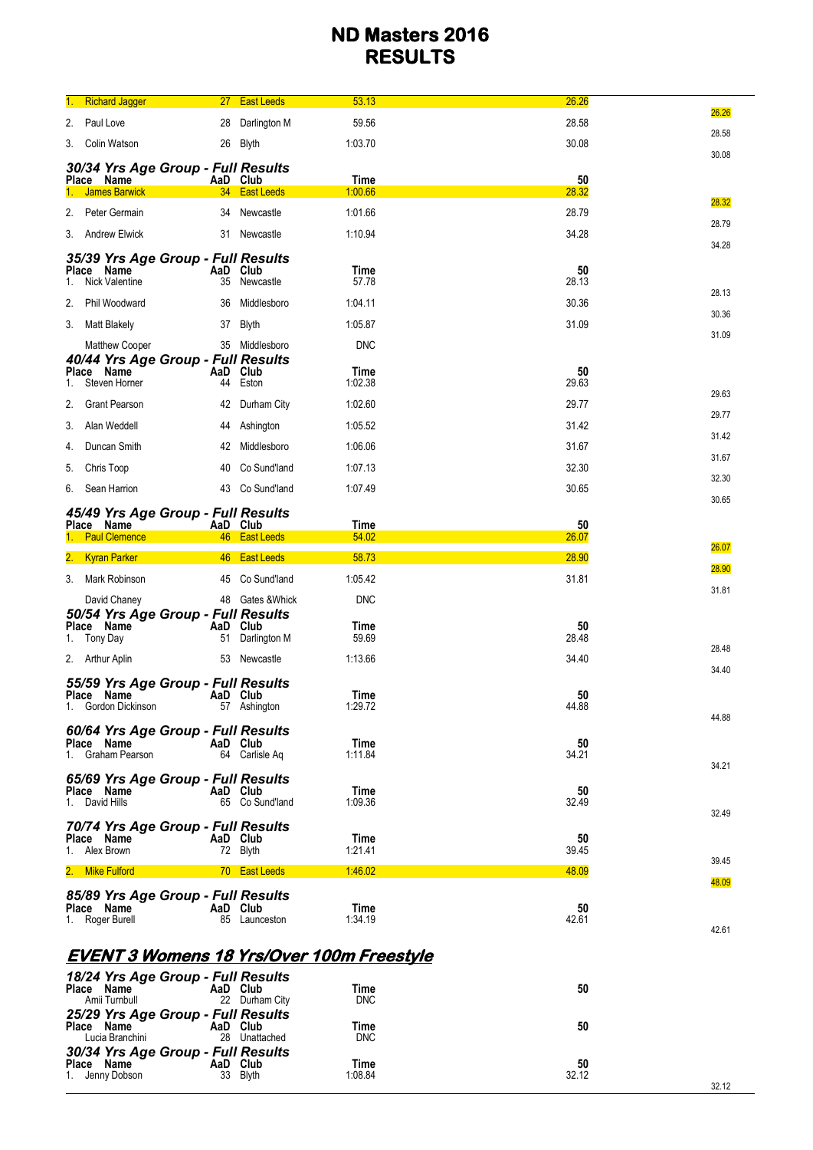| 1. | <b>Richard Jagger</b>                                       | 27 <sub>2</sub> | <b>East Leeds</b> | 53.13         | 26.26       | 26.26 |
|----|-------------------------------------------------------------|-----------------|-------------------|---------------|-------------|-------|
| 2. | Paul Love                                                   | 28              | Darlington M      | 59.56         | 28.58       | 28.58 |
|    | 3. Colin Watson                                             |                 | 26 Blyth          | 1:03.70       | 30.08       | 30.08 |
|    | 30/34 Yrs Age Group - Full Results                          |                 |                   |               |             |       |
|    | Place Name                                                  | AaD Club        |                   | <b>Time</b>   | 50          |       |
|    | <b>James Barwick</b>                                        |                 | 34 East Leeds     | 1:00.66       | 28.32       | 28.32 |
|    | 2. Peter Germain                                            | 34              | Newcastle         | 1:01.66       | 28.79       | 28.79 |
|    | 3. Andrew Elwick                                            | 31              | Newcastle         | 1:10.94       | 34.28       | 34.28 |
|    | 35/39 Yrs Age Group - Full Results                          |                 |                   |               |             |       |
| 1. | Place Name<br>Nick Valentine                                | AaD Club<br>35  | Newcastle         | Time<br>57.78 | 50<br>28.13 |       |
| 2. | Phil Woodward                                               | 36              | Middlesboro       | 1:04.11       | 30.36       | 28.13 |
|    | 3. Matt Blakely                                             | 37              | Blyth             | 1:05.87       | 31.09       | 30.36 |
|    |                                                             |                 |                   |               |             | 31.09 |
|    | <b>Matthew Cooper</b><br>40/44 Yrs Age Group - Full Results |                 | 35 Middlesboro    | <b>DNC</b>    |             |       |
|    | Place Name                                                  | AaD             | Club              | Time          | 50          |       |
| 1. | Steven Horner                                               | 44              | Eston             | 1:02.38       | 29.63       | 29.63 |
| 2. | <b>Grant Pearson</b>                                        |                 | 42 Durham City    | 1:02.60       | 29.77       | 29.77 |
| 3. | Alan Weddell                                                | 44              | Ashington         | 1:05.52       | 31.42       | 31.42 |
| 4. | Duncan Smith                                                | 42              | Middlesboro       | 1:06.06       | 31.67       | 31.67 |
| 5. | Chris Toop                                                  | 40              | Co Sund'land      | 1:07.13       | 32.30       |       |
| 6. | Sean Harrion                                                | 43              | Co Sund'land      | 1:07.49       | 30.65       | 32.30 |
|    | 45/49 Yrs Age Group - Full Results                          |                 |                   |               |             | 30.65 |
|    | Place Name                                                  | AaD Club        |                   | <b>Time</b>   | 50          |       |
|    | <b>Paul Clemence</b>                                        | 46              | <b>East Leeds</b> | 54.02         | 26.07       | 26.07 |
| 2. | <b>Kyran Parker</b>                                         | 46              | <b>East Leeds</b> | 58.73         | 28.90       | 28.90 |
|    | 3. Mark Robinson                                            | 45              | Co Sund'land      | 1:05.42       | 31.81       | 31.81 |
|    | David Chaney                                                |                 | 48 Gates & Whick  | <b>DNC</b>    |             |       |
|    | 50/54 Yrs Age Group - Full Results<br>Place Name            | AaD             | Club              | Time          | 50          |       |
| 1. | Tony Day                                                    | 51              | Darlington M      | 59.69         | 28.48       | 28.48 |
|    | 2. Arthur Aplin                                             | 53              | Newcastle         | 1:13.66       | 34.40       |       |
|    | 55/59 Yrs Age Group - Full Results                          |                 |                   |               |             | 34.40 |
|    | Place Name                                                  | AaD Club        |                   | Time          | 50          |       |
|    | 1. Gordon Dickinson                                         |                 | 57 Ashington      | 1:29.72       | 44.88       | 44.88 |
|    | 60/64 Yrs Age Group - Full Results<br>Place Name            | AaD Club        |                   | Time          | 50          |       |
|    | 1. Graham Pearson                                           |                 | 64 Carlisle Ag    | 1:11.84       | 34.21       |       |
|    | 65/69 Yrs Age Group - Full Results                          |                 |                   |               |             | 34.21 |
|    | Place Name                                                  | AaD Club        |                   | Time          | 50          |       |
|    | 1. David Hills                                              |                 | 65 Co Sund'land   | 1:09.36       | 32.49       | 32.49 |
|    | 70/74 Yrs Age Group - Full Results                          |                 |                   | Time          |             |       |
|    | Place Name<br>1. Alex Brown                                 | AaD Club        | 72 Blyth          | 1:21.41       | 50<br>39.45 |       |
|    | 2. Mike Fulford                                             |                 | 70 East Leeds     | 1:46.02       | 48.09       | 39.45 |
|    |                                                             |                 |                   |               |             | 48.09 |
|    | 85/89 Yrs Age Group - Full Results<br>Place Name            | AaD Club        |                   | Time          | 50          |       |
|    | 1. Roger Burell                                             |                 | 85 Launceston     | 1:34.19       | 42.61       | 42.61 |
|    |                                                             |                 |                   |               |             |       |

# **EVENT 3 Womens 18 Yrs/Over 100m Freestyle**

| 18/24 Yrs Age Group - Full Results<br>Place<br>Name<br>Amii Turnbull   | AaD Club       | 22 Durham City | Time<br><b>DNC</b> | 50          |      |
|------------------------------------------------------------------------|----------------|----------------|--------------------|-------------|------|
| 25/29 Yrs Age Group - Full Results<br>Place<br>Name<br>Lucia Branchini | AaD Club<br>28 | Unattached     | Time<br><b>DNC</b> | 50          |      |
| 30/34 Yrs Age Group - Full Results<br>Place<br>Name<br>1. Jenny Dobson | AaD Club       | 33 Blyth       | Time<br>1:08.84    | 50<br>32.12 | 3212 |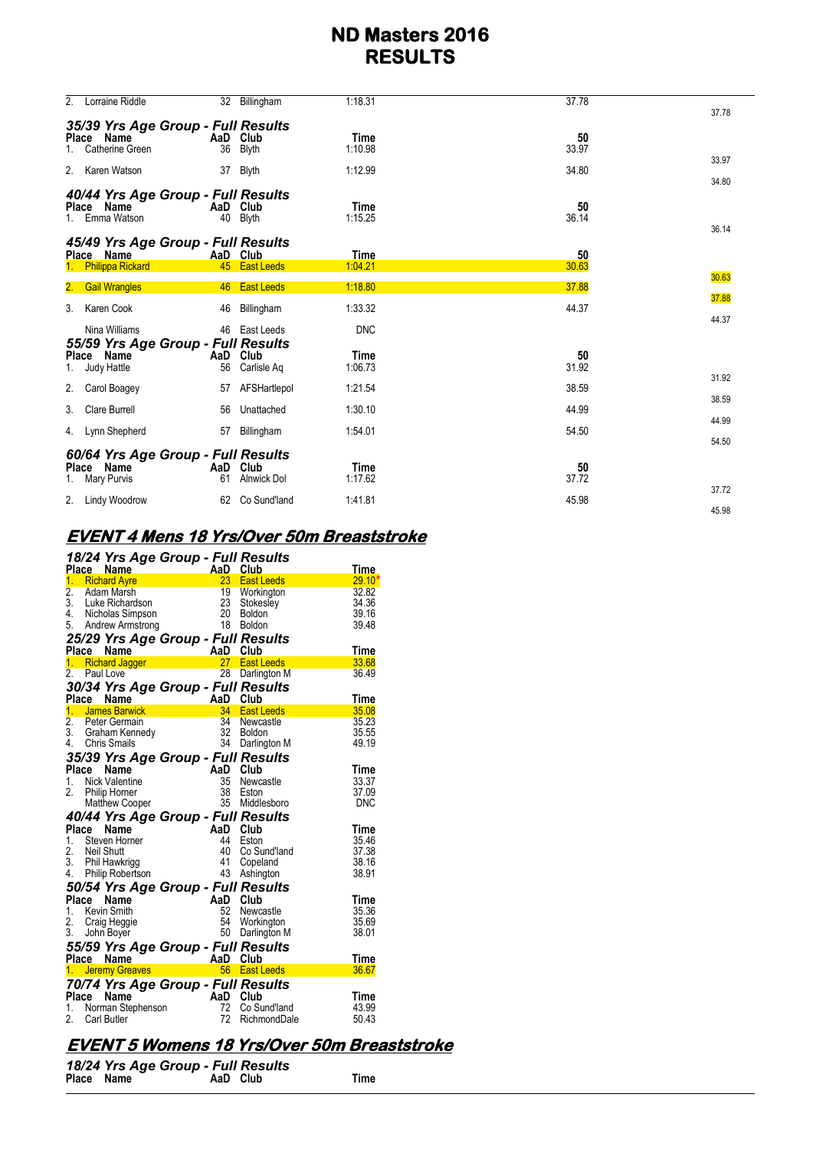| 2. | Lorraine Riddle                                                        |           | 32 Billingham                  | 1:18.31                | 37.78       | 37.78          |
|----|------------------------------------------------------------------------|-----------|--------------------------------|------------------------|-------------|----------------|
|    | 35/39 Yrs Age Group - Full Results<br>Place Name<br>Catherine Green    | 36        | AaD Club<br><b>Blyth</b>       | <b>Time</b><br>1:10.98 | 50<br>33.97 | 33.97          |
|    | 2. Karen Watson                                                        | 37        | Blyth                          | 1:12.99                | 34.80       | 34.80          |
|    | 40/44 Yrs Age Group - Full Results<br>Place Name<br>Emma Watson        | 40        | AaD Club<br><b>Blyth</b>       | <b>Time</b><br>1:15.25 | 50<br>36.14 | 36.14          |
|    | 45/49 Yrs Age Group - Full Results<br>Place Name                       |           | AaD Club                       | <b>Time</b>            | 50          |                |
|    | <b>Philippa Rickard</b>                                                |           | 45 East Leeds                  | 1:04.21                | 30.63       | 30.63          |
|    | 2. Gail Wrangles                                                       | 46        | <b>East Leeds</b>              | 1:18.80                | 37.88       |                |
|    | 3. Karen Cook                                                          | 46        | Billingham                     | 1:33.32                | 44.37       | 37.88          |
|    | Nina Williams                                                          | 46        | East Leeds                     | <b>DNC</b>             |             | 44.37          |
| 1. | 55/59 Yrs Age Group - Full Results<br>Place Name<br>Judy Hattle        | AaD<br>56 | Club<br>Carlisle Aq            | <b>Time</b><br>1:06.73 | 50<br>31.92 | 31.92          |
| 2. | Carol Boagey                                                           | 57        | AFSHartlepol                   | 1:21.54                | 38.59       |                |
| 3. | <b>Clare Burrell</b>                                                   | 56        | Unattached                     | 1:30.10                | 44.99       | 38.59          |
|    | 4. Lynn Shepherd                                                       | 57        | Billingham                     | 1:54.01                | 54.50       | 44.99          |
| 1. | 60/64 Yrs Age Group - Full Results<br>Place Name<br><b>Mary Purvis</b> | 61        | AaD Club<br><b>Alnwick Dol</b> | <b>Time</b><br>1:17.62 | 50<br>37.72 | 54.50<br>37.72 |
|    | 2. Lindy Woodrow                                                       | 62        | Co Sund'land                   | 1:41.81                | 45.98       |                |
|    |                                                                        |           |                                |                        |             | 45.98          |

# **EVENT 4 Mens 18 Yrs/Over 50m Breaststroke**

|                  |       | 18/24 Yrs Age Group - Full Results<br>Place Name                                                                                                                    |                             |                 | <b>Club</b>       | <u>Time</u> |
|------------------|-------|---------------------------------------------------------------------------------------------------------------------------------------------------------------------|-----------------------------|-----------------|-------------------|-------------|
|                  |       | 1. Richard Ayre                                                                                                                                                     | <b>AaD</b>                  |                 | 23 East Leeds     | $29.10*$    |
| $\overline{2}$ . |       | Adam Marsh                                                                                                                                                          |                             |                 | 19 Workington     | 32.82       |
| 3.               |       | Luke Richardson                                                                                                                                                     |                             |                 | Stokesley         | 34.36       |
|                  |       | 4. Nicholas Simpson                                                                                                                                                 |                             |                 | Boldon            | 39.16       |
|                  |       | 5. Andrew Armstrong                                                                                                                                                 | $\frac{23}{20}$<br>20       |                 | Boldon            | 39.48       |
|                  |       | 25/29 Yrs Age Group - Full Results                                                                                                                                  |                             |                 |                   |             |
|                  |       | riace Name<br>1. Richard Jagger <b>Aad Club</b><br>2. Paul Love <b>Container Container Prince Article</b><br>2. Paul Love                                           |                             |                 |                   | Time        |
|                  |       |                                                                                                                                                                     |                             |                 | 27 East Leeds     | 33.68       |
| 2.               |       | Paul Love                                                                                                                                                           |                             | 28              | Darlington M      | 36.49       |
|                  |       | 30/34 Yrs Age Group - Full Results                                                                                                                                  |                             |                 |                   |             |
|                  |       |                                                                                                                                                                     |                             |                 |                   | Time        |
|                  |       | <b>Curve Name</b><br><b>1. James Barwick</b><br><b>2.</b> Peter Germain<br>3. Graham Kennedy<br>4. Chris Smails<br><b>1.</b> Chris Smails<br><b>1.</b> Chris Smails |                             |                 | <b>East Leeds</b> | 35.08       |
|                  |       |                                                                                                                                                                     |                             |                 | Newcastle         | 35.23       |
|                  |       |                                                                                                                                                                     |                             |                 | <b>Boldon</b>     | 35.55       |
|                  |       |                                                                                                                                                                     |                             |                 | Darlington M      | 49.19       |
|                  |       | 35/39 Yrs Age Group - Full Results                                                                                                                                  |                             |                 |                   |             |
| Place            |       | Name                                                                                                                                                                | $A_i$                       | AaD             | Club              | Time        |
| 1.               |       | <b>Nick Valentine</b>                                                                                                                                               |                             | 35              | Newcastle         | 33.37       |
| 2.               |       | Philip Homer                                                                                                                                                        |                             | 38              | Eston             | 37.09       |
|                  |       | <b>Matthew Cooper</b>                                                                                                                                               |                             | 35 <sup>5</sup> | Middlesboro       | <b>DNC</b>  |
|                  |       | 40/44 Yrs Age Group - Full Results                                                                                                                                  |                             |                 |                   |             |
|                  |       | Place Name                                                                                                                                                          | AaD<br>44<br>40<br>41<br>43 | AaD Club        |                   | Time        |
|                  |       | 1. Steven Horner                                                                                                                                                    |                             |                 | Eston             | 35.46       |
| 2.               |       | Neil Shutt<br>Phil Hawkrigg                                                                                                                                         |                             |                 | Co Sund'land      | 37.38       |
| 3.               |       |                                                                                                                                                                     |                             |                 | Copeland          | 38.16       |
|                  |       | 4. Philip Robertson                                                                                                                                                 |                             |                 | Ashington         | 38.91       |
|                  |       | 50/54 Yrs Age Group - Full Results                                                                                                                                  |                             |                 |                   |             |
|                  | Place | Name                                                                                                                                                                |                             | AaD Club        |                   | Time        |
|                  |       | 1. Kevin Smith                                                                                                                                                      |                             | 52              | Newcastle         | 35.36       |
| 2.               |       | Craig Heggie                                                                                                                                                        |                             | 54              | Workington        | 35.69       |
|                  |       | 3. John Boyer                                                                                                                                                       |                             |                 | 50 Darlington M   | 38.01       |
|                  |       |                                                                                                                                                                     |                             |                 |                   |             |
|                  |       |                                                                                                                                                                     |                             |                 |                   | Time        |
|                  |       | 55/59 Yrs Age Group - Full Results<br>Place Name AaD Club<br>1. Jeremy Greaves 66 East Leeds                                                                        |                             |                 |                   | 36.67       |
|                  |       | 70/74 Yrs Age Group - Full Results                                                                                                                                  |                             |                 |                   |             |
|                  | Place | Name                                                                                                                                                                |                             | AaD Club        |                   | Time        |
|                  |       | 1. Norman Stephenson                                                                                                                                                |                             | 72              | Co Sund'land      | 43.99       |
| 2.               |       | Carl Butler                                                                                                                                                         |                             | 72              | RichmondDale      | 50.43       |

# **EVENT 5 Womens 18 Yrs/Over 50m Breaststroke**

|            | 18/24 Yrs Age Group - Full Results |          |      |
|------------|------------------------------------|----------|------|
| Place Name |                                    | AaD Club | Time |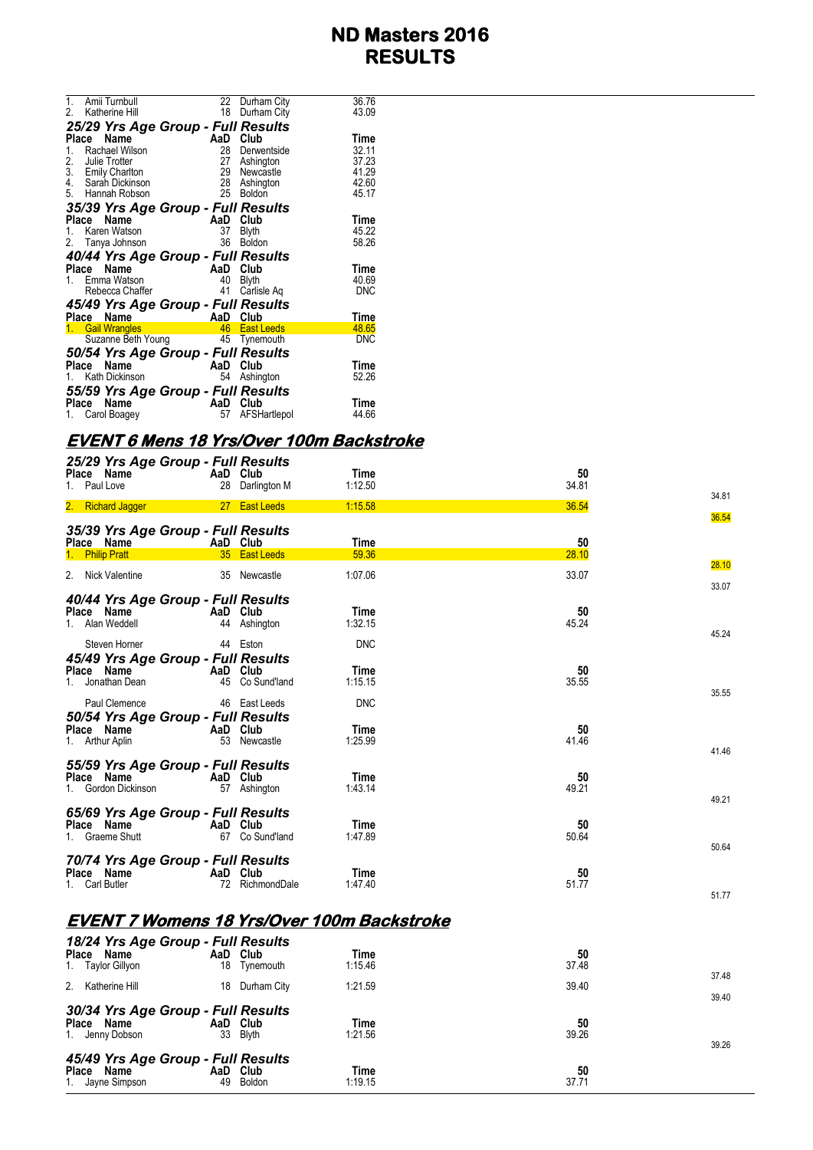| 1.           | Amii Turnbull                      |          | 22 Durham City | 36.76      |
|--------------|------------------------------------|----------|----------------|------------|
|              | 2. Katherine Hill                  |          | 18 Durham City | 43.09      |
|              | 25/29 Yrs Age Group - Full Results |          |                |            |
| Place        | Name                               | AaD      | Club           | Time       |
| 1.           | Rachael Wilson                     |          | 28 Derwentside | 32.11      |
| 2.           | Julie Trotter                      |          | 27 Ashington   | 37.23      |
|              | 3. Emily Charlton                  |          | 29 Newcastle   | 41.29      |
| 4.           | Sarah Dickinson                    |          | 28 Ashington   | 42.60      |
|              | 5. Hannah Robson                   | 25       | <b>Boldon</b>  | 45.17      |
|              | 35/39 Yrs Age Group - Full Results |          |                |            |
| <b>Place</b> | <b>Name</b>                        | AaD      | Club           | Time       |
|              | 1. Karen Watson                    | 37       | <b>Blyth</b>   | 45.22      |
|              | 2. Tanya Johnson                   | 36       | <b>Boldon</b>  | 58.26      |
|              | 40/44 Yrs Age Group - Full Results |          |                |            |
| Place        | Name                               | AaD      | Club           | Time       |
|              | 1. Emma Watson                     | 40       | <b>Blyth</b>   | 40.69      |
|              | Rebecca Chaffer                    | 41       | Carlisle Ag    | DNC        |
|              | 45/49 Yrs Age Group - Full Results |          |                |            |
| Place        | Name                               | AaD Club |                | Time       |
|              | 1. Gail Wrangles                   |          | 46 East Leeds  | 48.65      |
|              | Suzanne Beth Young                 |          | 45 Tynemouth   | <b>DNC</b> |
|              | 50/54 Yrs Age Group - Full Results |          |                |            |
|              | Name<br>Place                      | AaD Club |                | Time       |
|              | 1. Kath Dickinson                  | 54       | Ashington      | 52.26      |
|              | 55/59 Yrs Age Group - Full Results |          |                |            |
| Place        | Name                               | AaD      | Club           | Time       |
|              | 1. Carol Boagey                    | 57       | AFSHartlepol   | 44.66      |
|              |                                    |          |                |            |

#### **EVENT 6 Mens 18 Yrs/Over 100m Backstroke**

| Place Name<br>1. Paul Love                      | 25/29 Yrs Age Group - Full Results | AaD Club<br>28 Darlington M               | Time<br>1:12.50                            | 50<br>34.81 |                |
|-------------------------------------------------|------------------------------------|-------------------------------------------|--------------------------------------------|-------------|----------------|
| 2. Richard Jagger                               |                                    | 27 East Leeds                             | 1:15.58                                    | 36.54       | 34.81<br>36.54 |
| Place Name<br>1. Philip Pratt                   | 35/39 Yrs Age Group - Full Results | AaD Club<br>35 East Leeds                 | Time<br>59.36                              | 50<br>28.10 |                |
| 2. Nick Valentine                               |                                    | 35 Newcastle                              | 1:07.06                                    | 33.07       | 28.10<br>33.07 |
| Place Name<br>1. Alan Weddell                   | 40/44 Yrs Age Group - Full Results | AaD Club<br>44 Ashington                  | Time<br>1:32.15                            | 50<br>45.24 | 45.24          |
| Steven Horner<br>Place Name<br>1. Jonathan Dean | 45/49 Yrs Age Group - Full Results | 44 Eston<br>AaD Club<br>45 Co Sund'land   | <b>DNC</b><br>Time<br>1:15.15              | 50<br>35.55 |                |
| Paul Clemence<br>Place Name<br>1. Arthur Aplin  | 50/54 Yrs Age Group - Full Results | 46 East Leeds<br>AaD Club<br>53 Newcastle | <b>DNC</b><br>Time<br>1:25.99              | 50<br>41.46 | 35.55          |
| Place Name<br>1. Gordon Dickinson               | 55/59 Yrs Age Group - Full Results | AaD Club<br>57 Ashington                  | Time<br>1:43.14                            | 50<br>49.21 | 41.46<br>49.21 |
| Place Name<br>1. Graeme Shutt                   | 65/69 Yrs Age Group - Full Results | AaD Club<br>67 Co Sund'land               | Time<br>1:47.89                            | 50<br>50.64 | 50.64          |
| Place Name<br>1. Carl Butler                    | 70/74 Yrs Age Group - Full Results | AaD Club<br>72 RichmondDale               | Time<br>1:47.40                            | 50<br>51.77 | 51.77          |
|                                                 |                                    |                                           | EVENT 7 Womens 18 Yrs/Over 100m Backstroke |             |                |
| Place Name<br>1. Taylor Gillyon                 | 18/24 Yrs Age Group - Full Results | AaD Club<br>18 Tynemouth                  | Time<br>1:15.46                            | 50<br>37.48 | 37.48          |
| 2. Katherine Hill                               |                                    | 18 Durham City                            | 1:21.59                                    | 39.40       | 39.40          |
| Place Name<br>1. Jenny Dobson                   | 30/34 Yrs Age Group - Full Results | AaD Club<br>33 Blyth                      | Time<br>1:21.56                            | 50<br>39.26 | 39.26          |
| Place Name<br>1. Jayne Simpson                  | 45/49 Yrs Age Group - Full Results | AaD Club<br>49 Boldon                     | Time<br>1:19.15                            | 50<br>37.71 |                |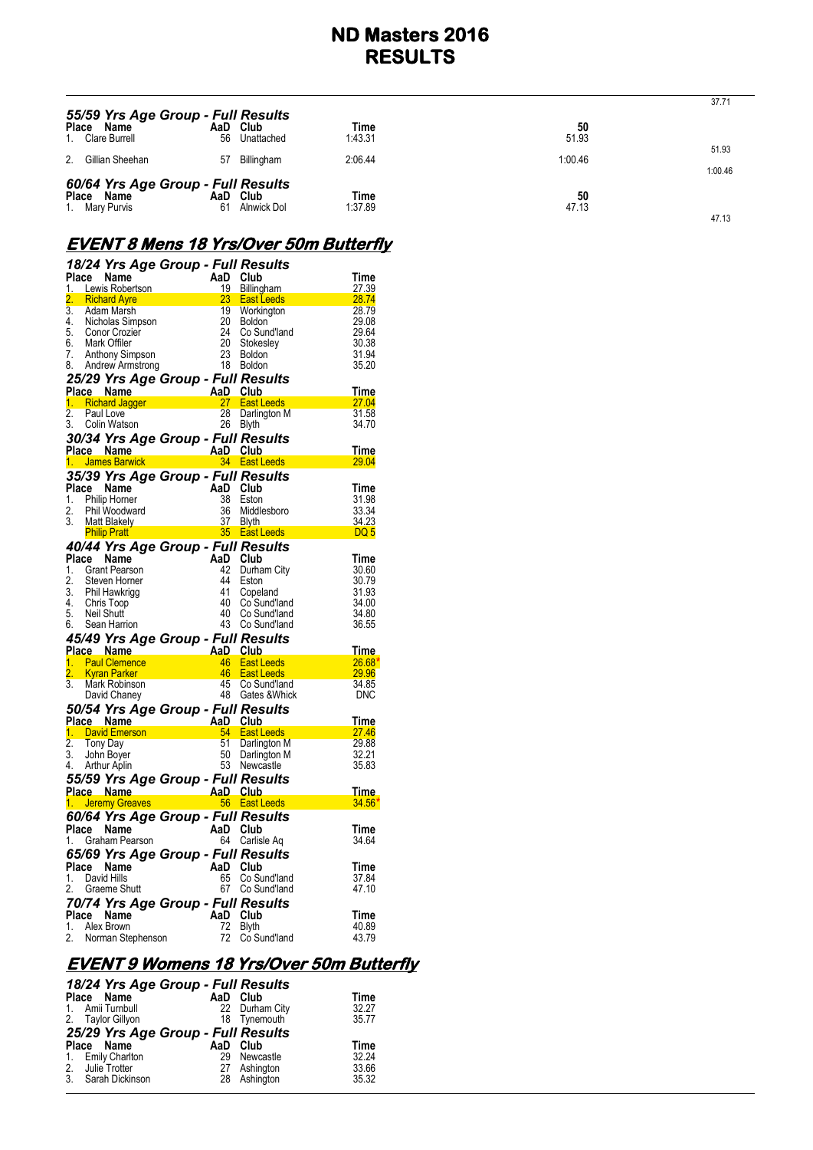| 55/59 Yrs Age Group - Full Results                                 |                |             |                 |             | 37.71            |
|--------------------------------------------------------------------|----------------|-------------|-----------------|-------------|------------------|
| Place Name<br>1. Clare Burrell                                     | AaD Club<br>56 | Unattached  | Time<br>1:43.31 | 50<br>51.93 |                  |
| 2.<br>Gillian Sheehan                                              | 57             | Billingham  | 2:06.44         | 1:00.46     | 51.93<br>1:00.46 |
| 60/64 Yrs Age Group - Full Results<br>Place Name<br>1. Mary Purvis | AaD Club<br>61 | Alnwick Dol | Time<br>1:37.89 | 50<br>47.13 | 47.13            |

## **EVENT 8 Mens 18 Yrs/Over 50m Butterfly**

|    | 18/24 Yrs Age Group - Full Results<br>Place Name                                                                                                                                                                                                                  | AaD Club |                                                                                                                                                             | Time                |
|----|-------------------------------------------------------------------------------------------------------------------------------------------------------------------------------------------------------------------------------------------------------------------|----------|-------------------------------------------------------------------------------------------------------------------------------------------------------------|---------------------|
|    | <b>Place Name</b><br>1. Lewis Robertson                                                                                                                                                                                                                           |          | 19 Billingham                                                                                                                                               | 27.39               |
|    | 2. Richard Ayre<br>3. Adam Marsh                                                                                                                                                                                                                                  |          | <sup>13</sup> Bumpinam<br>23 East Leeds<br>19 Workington<br>20 Boldon<br>24 Co Sund'land<br>20 Stokesley<br>23 Boldon<br>18 Boldon<br>$\frac{28.74}{28.74}$ |                     |
|    |                                                                                                                                                                                                                                                                   |          |                                                                                                                                                             | 28.79               |
|    |                                                                                                                                                                                                                                                                   |          |                                                                                                                                                             | 29.08               |
|    | 4. Nicholas Simpson<br>5. Conor Crozier<br>6. Mark Offiler                                                                                                                                                                                                        |          | Co Sund'land                                                                                                                                                | 29.64               |
|    |                                                                                                                                                                                                                                                                   |          |                                                                                                                                                             | 30.38               |
| 7. | Anthony Simpson                                                                                                                                                                                                                                                   |          | 23 Boldon<br>18 Boldon                                                                                                                                      | 31.94<br>35.20      |
|    | 8. Andrew Armstrong                                                                                                                                                                                                                                               |          |                                                                                                                                                             |                     |
|    | <b>25/29 Yrs Age Group - Full Results<br/> Place Name AaD Club<br/> 1. Richard Jagger 27 East Leeds<br/> 2. Paul Live 28 Darlington M<br/> 2. Paul Live 28 Darlington M</b>                                                                                       |          |                                                                                                                                                             |                     |
|    |                                                                                                                                                                                                                                                                   |          | $\begin{array}{c} \hline 11110 \\ -27.04 \end{array}$                                                                                                       | <u>Time</u>         |
|    |                                                                                                                                                                                                                                                                   |          |                                                                                                                                                             | 31.58               |
| 3. | Colin Watson                                                                                                                                                                                                                                                      |          | 26 Blyth                                                                                                                                                    | 34.70               |
|    | 30/34 Yrs Age Group - Full Results                                                                                                                                                                                                                                |          |                                                                                                                                                             |                     |
|    |                                                                                                                                                                                                                                                                   |          |                                                                                                                                                             | Time                |
|    |                                                                                                                                                                                                                                                                   |          |                                                                                                                                                             | <b>29.04</b>        |
|    |                                                                                                                                                                                                                                                                   |          |                                                                                                                                                             |                     |
|    | 35/39 Yrs Age Group - Full Results<br>Place Name AaD Club                                                                                                                                                                                                         |          |                                                                                                                                                             | Time                |
|    | 1. Philip Horner                                                                                                                                                                                                                                                  |          |                                                                                                                                                             | 31.98               |
| 2. | Phil Woodward                                                                                                                                                                                                                                                     |          |                                                                                                                                                             | 33.34               |
| 3. | Matt Blakely                                                                                                                                                                                                                                                      |          |                                                                                                                                                             | 34.23               |
|    | Philip Homer<br>Philip Homer<br>Philip Homer<br>Matt Blakely<br><b>Philip Pratt</b><br>Philip Pratt<br>Philip Pratt<br>Philip Pratt<br>Philip Pratt<br>Philip Pratt<br>Philip Pratt<br>Philip Pratt<br>Philip Pratt<br>Philip Pratt<br>Philip Pratt<br>Philip Pra |          | and the state of <mark>DQ 5</mark>                                                                                                                          |                     |
|    | And <b>Pully Fight September 2014 1998</b><br>And Disco Name AaD Club                                                                                                                                                                                             |          |                                                                                                                                                             |                     |
|    |                                                                                                                                                                                                                                                                   |          |                                                                                                                                                             | <b>Time</b>         |
|    | 1. Grant Pearson                                                                                                                                                                                                                                                  |          | 42 Durham City                                                                                                                                              | 30.60               |
|    | 2. Steven Horner<br>3. Phil Hawkrigg                                                                                                                                                                                                                              |          | 44 Eston                                                                                                                                                    | 30.79               |
|    |                                                                                                                                                                                                                                                                   |          | 41 Copeland                                                                                                                                                 | 31.93               |
|    | 4. Chris Toop                                                                                                                                                                                                                                                     |          | 40 Co Sund'land                                                                                                                                             | 34.00               |
| 5. | Neil Shutt                                                                                                                                                                                                                                                        |          | 40 Co Sund'land<br>43 Co Sund'land                                                                                                                          | 34.80               |
|    | 6. Sean Harrion                                                                                                                                                                                                                                                   |          |                                                                                                                                                             | 36.55               |
|    | 45/49 Yrs Age Group - Full Results<br>Place Name AaD Club<br>1. Paul Clemence 46 East Leeds                                                                                                                                                                       |          |                                                                                                                                                             |                     |
|    |                                                                                                                                                                                                                                                                   |          |                                                                                                                                                             | <u>Time</u>         |
|    | 1. Paul Clemence<br>2. Kyran Parker                                                                                                                                                                                                                               |          | 46 East Leeds                                                                                                                                               | $26.68*$            |
|    |                                                                                                                                                                                                                                                                   |          |                                                                                                                                                             | 29.96               |
| 3. | Mark Robinson                                                                                                                                                                                                                                                     |          | 46 East Leeds<br>45 Co Sund'land<br>48 Gates & Whick                                                                                                        | 34.85<br><b>DNC</b> |
|    | David Chaney                                                                                                                                                                                                                                                      |          |                                                                                                                                                             |                     |
|    | 50/54 Yrs Age Group - Full Results                                                                                                                                                                                                                                |          |                                                                                                                                                             |                     |
|    |                                                                                                                                                                                                                                                                   |          |                                                                                                                                                             | Time<br>27.46       |
|    | Place Name<br>1. David Emerson <b>AaD Club</b><br>2. Tony Day 51 Darlington M<br>2. Tony Day 51 Darlington M                                                                                                                                                      |          |                                                                                                                                                             | 29.88               |
| 3. | John Boyer                                                                                                                                                                                                                                                        |          | 50 Darlington M                                                                                                                                             | 32.21               |
|    | 4. Arthur Aplin                                                                                                                                                                                                                                                   |          | 53 Newcastle                                                                                                                                                | 35.83               |
|    | 55/59 Yrs Age Group - Full Results                                                                                                                                                                                                                                |          |                                                                                                                                                             |                     |
|    |                                                                                                                                                                                                                                                                   |          |                                                                                                                                                             | Time                |
|    | Place Name<br>1. Jeremy Greaves <b>Property Container Again</b> 66 East L                                                                                                                                                                                         |          | 56 East Leeds                                                                                                                                               | $34.56*$            |
|    | 60/64 Yrs Age Group - Full Results                                                                                                                                                                                                                                |          |                                                                                                                                                             |                     |
|    |                                                                                                                                                                                                                                                                   | AaD Club |                                                                                                                                                             | Time                |
|    |                                                                                                                                                                                                                                                                   |          | 64 Carlisle Aq                                                                                                                                              | 34.64               |
|    | all and <b>name</b><br>1. Graham Pearson<br>65/60 M                                                                                                                                                                                                               |          |                                                                                                                                                             |                     |
|    | 65/69 Yrs Age Group - Full Results                                                                                                                                                                                                                                | AaD Club |                                                                                                                                                             |                     |
|    | Place Name<br>1. David Hills                                                                                                                                                                                                                                      | 65       | Co Sund'land                                                                                                                                                | Time                |
| 2. | Graeme Shutt                                                                                                                                                                                                                                                      |          | 67 Co Sund'land                                                                                                                                             | 37.84<br>47.10      |
|    |                                                                                                                                                                                                                                                                   |          |                                                                                                                                                             |                     |
|    |                                                                                                                                                                                                                                                                   |          |                                                                                                                                                             |                     |
|    | <b>70/74 Yrs Age Group - Full Results<br/> Place Name AaD Club<br/> 1. Alex Brown 72 Blyth<br/> 2. Norman Stephenson 72 Co Sund'land</b>                                                                                                                          |          |                                                                                                                                                             | Time                |
|    |                                                                                                                                                                                                                                                                   |          |                                                                                                                                                             | 40.89               |
|    |                                                                                                                                                                                                                                                                   |          | 72 Co Sund'land                                                                                                                                             | 43.79               |

#### **EVENT 9 Womens 18 Yrs/Over 50m Butterfly**

| 18/24 Yrs Age Group - Full Results |                |             |
|------------------------------------|----------------|-------------|
| Place Name                         | AaD Club       | <b>Time</b> |
| 1. Amii Turnbull                   | 22 Durham City | 32.27       |
| 2. Taylor Gillyon                  | 18 Tynemouth   | 35.77       |
| 25/29 Yrs Age Group - Full Results |                |             |
| Place Name                         | AaD Club       | <b>Time</b> |
| 1. Emily Charlton                  | 29 Newcastle   | 32.24       |
| 2. Julie Trotter                   | 27 Ashington   | 33.66       |
| 3. Sarah Dickinson                 | 28 Ashington   | 35.32       |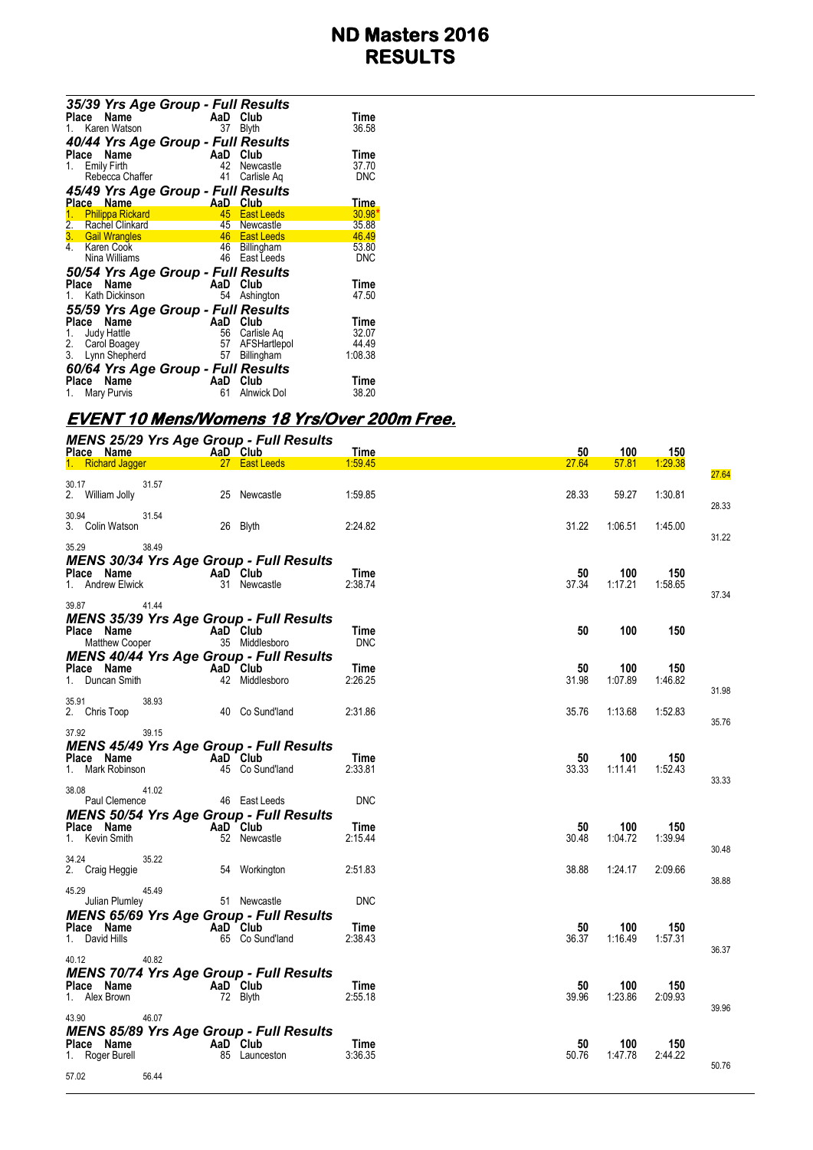|                  |       |                        | 35/39 Yrs Age Group - Full Results |                 |             |
|------------------|-------|------------------------|------------------------------------|-----------------|-------------|
|                  | Place | Name                   | AaD                                | Club            | Time        |
|                  |       | 1. Karen Watson        | 37                                 | <b>Blyth</b>    | 36.58       |
|                  |       |                        | 40/44 Yrs Age Group - Full Results |                 |             |
|                  |       | Place Name             | AaD                                | Club            | Time        |
| $1_{\ldots}$     |       | <b>Emily Firth</b>     | 42                                 | Newcastle       | 37.70       |
|                  |       | Rebecca Chaffer        | 41                                 | Carlisle Ag     | <b>DNC</b>  |
|                  |       |                        | 45/49 Yrs Age Group - Full Results |                 |             |
|                  |       | Place Name             | AaD —                              | Club            | <u>Time</u> |
|                  |       | 1. Philippa Rickard    |                                    | 45 East Leeds   | 30.98       |
| $\overline{2}$ . |       | <b>Rachel Clinkard</b> |                                    | 45 Newcastle    | 35.88       |
|                  |       | 3. Gail Wrangles       |                                    | 46 East Leeds   | 46.49       |
|                  |       | 4. Karen Cook          |                                    | 46 Billingham   | 53.80       |
|                  |       | Nina Williams          | 46                                 | East Leeds      | <b>DNC</b>  |
|                  |       |                        | 50/54 Yrs Age Group - Full Results |                 |             |
|                  |       | Place Name             | AaD                                | Club            | Time        |
|                  |       | 1. Kath Dickinson      | 54                                 | Ashington       | 47.50       |
|                  |       |                        | 55/59 Yrs Age Group - Full Results |                 |             |
| Place            |       | Name                   | AaD                                | Club            | Time        |
| 1.               |       | Judy Hattle            |                                    | 56 Carlisle Ag  | 32.07       |
|                  |       | 2. Carol Boagey        |                                    | 57 AFSHartlepol | 44.49       |
| 3.               |       | Lynn Shepherd          | 57                                 | Billingham      | 1:08.38     |
|                  |       |                        | 60/64 Yrs Age Group - Full Results |                 |             |
|                  |       | Place Name             | AaD                                | Club            | Time        |
|                  |       | Mary Purvis            | 61                                 | Alnwick Dol     | 38.20       |
|                  |       |                        |                                    |                 |             |

# **EVENT 10 Mens/Womens 18 Yrs/Over 200m Free.**

| <b>MENS 25/29 Yrs Age Group - Full Results</b><br>Place Name | AaD Club        | Time        | 50    | 100     | 150     |       |
|--------------------------------------------------------------|-----------------|-------------|-------|---------|---------|-------|
| 1. Richard Jagger                                            | 27 East Leeds   | 1:59.45     | 27.64 | 57.81   | 1:29.38 |       |
|                                                              |                 |             |       |         |         | 27.64 |
| 30.17<br>31.57<br>2. William Jolly                           | 25 Newcastle    | 1:59.85     | 28.33 | 59.27   | 1:30.81 |       |
|                                                              |                 |             |       |         |         | 28.33 |
| 30.94<br>31.54<br>3. Colin Watson                            | 26 Blyth        | 2:24.82     | 31.22 | 1:06.51 | 1:45.00 |       |
|                                                              |                 |             |       |         |         | 31.22 |
| 35.29<br>38.49                                               |                 |             |       |         |         |       |
| <b>MENS 30/34 Yrs Age Group - Full Results</b>               |                 |             |       |         |         |       |
| Place Name <b>Demon</b>                                      | AaD Club        | Time        | 50    | 100     | 150     |       |
| 1. Andrew Elwick                                             | 31 Newcastle    | 2:38.74     | 37.34 | 1:17.21 | 1:58.65 | 37.34 |
| 41.44<br>39.87                                               |                 |             |       |         |         |       |
| <b>MENS 35/39 Yrs Age Group - Full Results</b>               |                 |             |       |         |         |       |
| Place Name                                                   | AaD Club        | Time        | 50    | 100     | 150     |       |
| Matthew Cooper                                               | 35 Middlesboro  | <b>DNC</b>  |       |         |         |       |
| <b>MENS 40/44 Yrs Age Group - Full Results</b>               |                 |             |       |         |         |       |
| Place Name                                                   | AaD Club        | Time        | 50    | 100     | 150     |       |
| 1. Duncan Smith                                              | 42 Middlesboro  | 2:26.25     | 31.98 | 1:07.89 | 1:46.82 | 31.98 |
| 35.91<br>38.93                                               |                 |             |       |         |         |       |
| 2. Chris Toop                                                | 40 Co Sund'land | 2:31.86     | 35.76 | 1:13.68 | 1:52.83 |       |
| 39.15                                                        |                 |             |       |         |         | 35.76 |
| 37.92<br><b>MENS 45/49 Yrs Age Group - Full Results</b>      |                 |             |       |         |         |       |
| Place Name                                                   | AaD Club        | Time        | 50    | 100     | 150     |       |
| 1. Mark Robinson                                             | 45 Co Sund'land | 2:33.81     | 33.33 | 1:11.41 | 1:52.43 |       |
|                                                              |                 |             |       |         |         | 33.33 |
| 38.08<br>41.02                                               |                 | <b>DNC</b>  |       |         |         |       |
| Paul Clemence                                                | 46 East Leeds   |             |       |         |         |       |
| <b>MENS 50/54 Yrs Age Group - Full Results</b><br>Place Name | AaD Club        | Time        | 50    | 100     | 150     |       |
| 1. Kevin Smith                                               | 52 Newcastle    | 2:15.44     | 30.48 | 1.04.72 | 1:39.94 |       |
|                                                              |                 |             |       |         |         | 30.48 |
| 34.24<br>35.22                                               |                 |             |       |         |         |       |
| 2. Craig Heggie                                              | 54 Workington   | 2:51.83     | 38.88 | 1:24.17 | 2:09.66 | 38.88 |
| 45.29<br>45.49                                               |                 |             |       |         |         |       |
| Julian Plumley                                               | 51 Newcastle    | <b>DNC</b>  |       |         |         |       |
| <b>MENS 65/69 Yrs Age Group - Full Results</b>               |                 |             |       |         |         |       |
| Place Name                                                   | AaD Club        | Time        | 50    | 100     | 150     |       |
| 1. David Hills                                               | 65 Co Sund'land | 2:38.43     | 36.37 | 1:16.49 | 1:57.31 | 36.37 |
| 40.82<br>40.12                                               |                 |             |       |         |         |       |
| <b>MENS 70/74 Yrs Age Group - Full Results</b>               |                 |             |       |         |         |       |
| Place Name                                                   | AaD Club        | <b>Time</b> | 50    | 100     | 150     |       |
| 1. Alex Brown                                                | 72 Blyth        | 2:55.18     | 39.96 | 1:23.86 | 2:09.93 |       |
| 46.07<br>43.90                                               |                 |             |       |         |         | 39.96 |
| <b>MENS 85/89 Yrs Age Group - Full Results</b>               |                 |             |       |         |         |       |
| Place Name                                                   | AaD Club        | Time        | 50    | 100     | 150     |       |
| 1. Roger Burell                                              | 85 Launceston   | 3:36.35     | 50.76 | 1:47.78 | 2:44.22 |       |
|                                                              |                 |             |       |         |         | 50.76 |
| 57.02<br>56.44                                               |                 |             |       |         |         |       |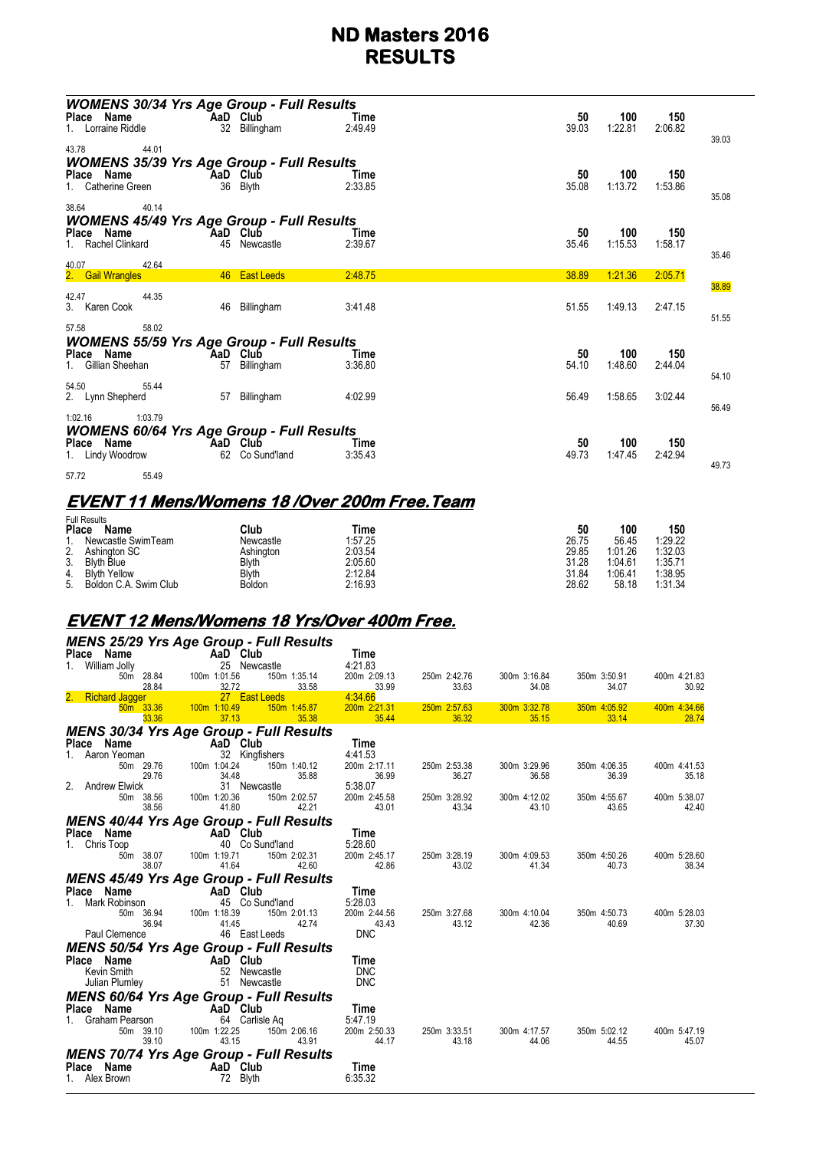| <b>WOMENS 30/34 Yrs Age Group - Full Results</b><br>Place Name<br>1. Lorraine Riddle                     | AaD Club<br>32 Billingham   | Time<br>2:49.49 | 50<br>39.03 | 100<br>1:22.81 | 150<br>2:06.82 | 39.03          |
|----------------------------------------------------------------------------------------------------------|-----------------------------|-----------------|-------------|----------------|----------------|----------------|
| 44.01<br>43.78<br><b>WOMENS 35/39 Yrs Age Group - Full Results</b><br>Place Name<br>Catherine Green      | AaD Club<br>36 Blyth        | Time<br>2:33.85 | 50<br>35.08 | 100<br>1:13.72 | 150<br>1:53.86 |                |
| 40.14<br>38.64<br><b>WOMENS 45/49 Yrs Age Group - Full Results</b><br>Place Name<br>1. Rachel Clinkard   | AaD Club<br>45 Newcastle    | Time<br>2:39.67 | 50<br>35.46 | 100<br>1:15.53 | 150<br>1:58.17 | 35.08<br>35.46 |
| 42.64<br>40.07<br>2. Gail Wrangles                                                                       | 46 East Leeds               | 2:48.75         | 38.89       | 1:21.36        | 2:05.71        | 38.89          |
| 42.47<br>44.35<br>3. Karen Cook                                                                          | 46 Billingham               | 3:41.48         | 51.55       | 1:49.13        | 2:47.15        | 51.55          |
| 58.02<br>57.58<br><b>WOMENS 55/59 Yrs Age Group - Full Results</b><br>Place Name<br>1. Gillian Sheehan   | AaD Club<br>57 Billingham   | Time<br>3:36.80 | 50<br>54.10 | 100<br>1:48.60 | 150<br>2:44.04 | 54.10          |
| 54.50<br>55.44<br>2. Lynn Shepherd                                                                       | 57 Billingham               | 4:02.99         | 56.49       | 1:58.65        | 3:02.44        | 56.49          |
| 1:03.79<br>1:02.16<br><b>WOMENS 60/64 Yrs Age Group - Full Results</b><br>Place Name<br>1. Lindy Woodrow | AaD Club<br>62 Co Sund'land | Time<br>3:35.43 | 50<br>49.73 | 100<br>1:47.45 | 150<br>2:42.94 | 49.73          |
| 57.72<br>55.49                                                                                           |                             |                 |             |                |                |                |

### **EVENT 11 Mens/Womens 18 /Over 200m Free.Team**

|    | <b>Full Results</b><br><b>Place</b><br>Name | Club          | Time    | 50    | 100     | 150     |
|----|---------------------------------------------|---------------|---------|-------|---------|---------|
|    | Newcastle SwimTeam                          | Newcastle     | 1:57.25 | 26.75 | 56.45   | 1:29.22 |
| 2. | Ashington SC                                | Ashington     | 2:03.54 | 29.85 | 1:01.26 | 1:32.03 |
| 3. | <b>Blyth Blue</b>                           | Blvth         | 2:05.60 | 31.28 | 1:04.61 | 1:35.71 |
| 4. | <b>Blyth Yellow</b>                         | <b>Blyth</b>  | 2:12.84 | 31.84 | 1:06.41 | 1:38.95 |
| 5. | Boldon C.A. Swim Club                       | <b>Boldon</b> | 2:16.93 | 28.62 | 58.18   | 1:31.34 |

## **EVENT 12 Mens/Womens 18 Yrs/Over 400m Free.**

|                                        | <b>MENS 25/29 Yrs Age Group - Full Results</b>                 |                                  |                       |                       |                       |                       |
|----------------------------------------|----------------------------------------------------------------|----------------------------------|-----------------------|-----------------------|-----------------------|-----------------------|
| Place Name                             | <b>AaD</b> Club                                                | Time                             |                       |                       |                       |                       |
| 1. William Jolly<br>50m 28.84<br>28.84 | 25 Newcastle<br>100m 1:01.56<br>150m 1:35.14<br>32.72<br>33.58 | 4:21.83<br>200m 2:09.13<br>33.99 | 250m 2:42.76<br>33.63 | 300m 3:16.84<br>34.08 | 350m 3:50.91<br>34.07 | 400m 4:21.83<br>30.92 |
| 2. Richard Jagger                      | 27 East Leeds                                                  | 4:34.66                          |                       |                       |                       |                       |
| $50m$ 33.36<br>33.36                   | 100m 1:10.49<br>150m 1:45.87<br>37.13<br>35.38                 | 200m 2:21.31<br>35.44            | 250m 2:57.63<br>36.32 | 300m 3:32.78<br>35.15 | 350m 4:05.92<br>33.14 | 400m 4:34.66<br>28.74 |
|                                        | <b>MENS 30/34 Yrs Age Group - Full Results</b>                 |                                  |                       |                       |                       |                       |
| Place Name                             | <b>Example 2</b> AaD Club                                      | Time                             |                       |                       |                       |                       |
| 1. Aaron Yeoman                        | 32 Kingfishers                                                 | 4:41.53                          |                       |                       |                       |                       |
| 50m 29.76<br>29.76                     | 100m 1:04.24<br>150m 1:40.12<br>34.48<br>35.88                 | 200m 2:17.11<br>36.99            | 250m 2:53.38<br>36.27 | 300m 3:29.96<br>36.58 | 350m 4:06.35<br>36.39 | 400m 4:41.53<br>35.18 |
| 2. Andrew Elwick                       | 31 Newcastle                                                   | 5:38.07                          |                       |                       |                       |                       |
| 50m 38.56                              | 100m 1:20.36<br>150m 2:02.57                                   | 200m 2:45.58                     | 250m 3:28.92          | 300m 4:12.02          | 350m 4:55.67          | 400m 5:38.07          |
| 38.56                                  | 42.21<br>41.80                                                 | 43.01                            | 43.34                 | 43.10                 | 43.65                 | 42.40                 |
|                                        | <b>MENS 40/44 Yrs Age Group - Full Results</b>                 |                                  |                       |                       |                       |                       |
| Place Name                             | AaD Club<br>40 Co Sund'land                                    | Time                             |                       |                       |                       |                       |
| 1. Chris Toop<br>50m 38.07             | 100m 1:19.71<br>150m 2:02.31                                   | 5:28.60<br>200m 2:45.17          | 250m 3:28.19          | 300m 4:09.53          | 350m 4:50.26          | 400m 5:28.60          |
| 38.07                                  | 42.60<br>41.64                                                 | 42.86                            | 43.02                 | 41.34                 | 40.73                 | 38.34                 |
|                                        | MENS 45/49 Yrs Age Group - Full Results                        |                                  |                       |                       |                       |                       |
| Place Name                             | AaD Club                                                       | Time                             |                       |                       |                       |                       |
| Mark Robinson                          | 45 Co Sund'land                                                | 5:28.03                          |                       |                       |                       |                       |
| 50m 36.94                              | 100m 1:18.39<br>150m 2:01.13                                   | 200m 2:44.56                     | 250m 3:27.68          | 300m 4:10.04          | 350m 4:50.73          | 400m 5:28.03          |
| 36.94<br>Paul Clemence                 | 42.74<br>41.45<br>46 East Leeds                                | 43.43<br><b>DNC</b>              | 43.12                 | 42.36                 | 40.69                 | 37.30                 |
|                                        | <b>MENS 50/54 Yrs Age Group - Full Results</b>                 |                                  |                       |                       |                       |                       |
| Place Name                             | AaD Club                                                       | Time                             |                       |                       |                       |                       |
| Kevin Smith                            | 52 Newcastle                                                   | <b>DNC</b>                       |                       |                       |                       |                       |
| Julian Plumley                         | 51 Newcastle                                                   | <b>DNC</b>                       |                       |                       |                       |                       |
|                                        | <b>MENS 60/64 Yrs Age Group - Full Results</b>                 |                                  |                       |                       |                       |                       |
| Place Name                             | <b>Example 2</b> AaD Club                                      | Time                             |                       |                       |                       |                       |
| Graham Pearson                         | 64 Carlisle Ag                                                 | 5:47.19                          |                       |                       |                       |                       |
| 50m 39.10<br>39.10                     | 150m 2:06.16<br>100m 1:22.25<br>43.15<br>43.91                 | 200m 2:50.33<br>44.17            | 250m 3:33.51<br>43.18 | 300m 4:17.57<br>44.06 | 350m 5:02.12<br>44.55 | 400m 5:47.19<br>45.07 |
|                                        | <b>MENS 70/74 Yrs Age Group - Full Results</b>                 |                                  |                       |                       |                       |                       |
| Place Name                             | AaD Club                                                       | Time                             |                       |                       |                       |                       |
| 1. Alex Brown                          | 72 Blyth                                                       | 6:35.32                          |                       |                       |                       |                       |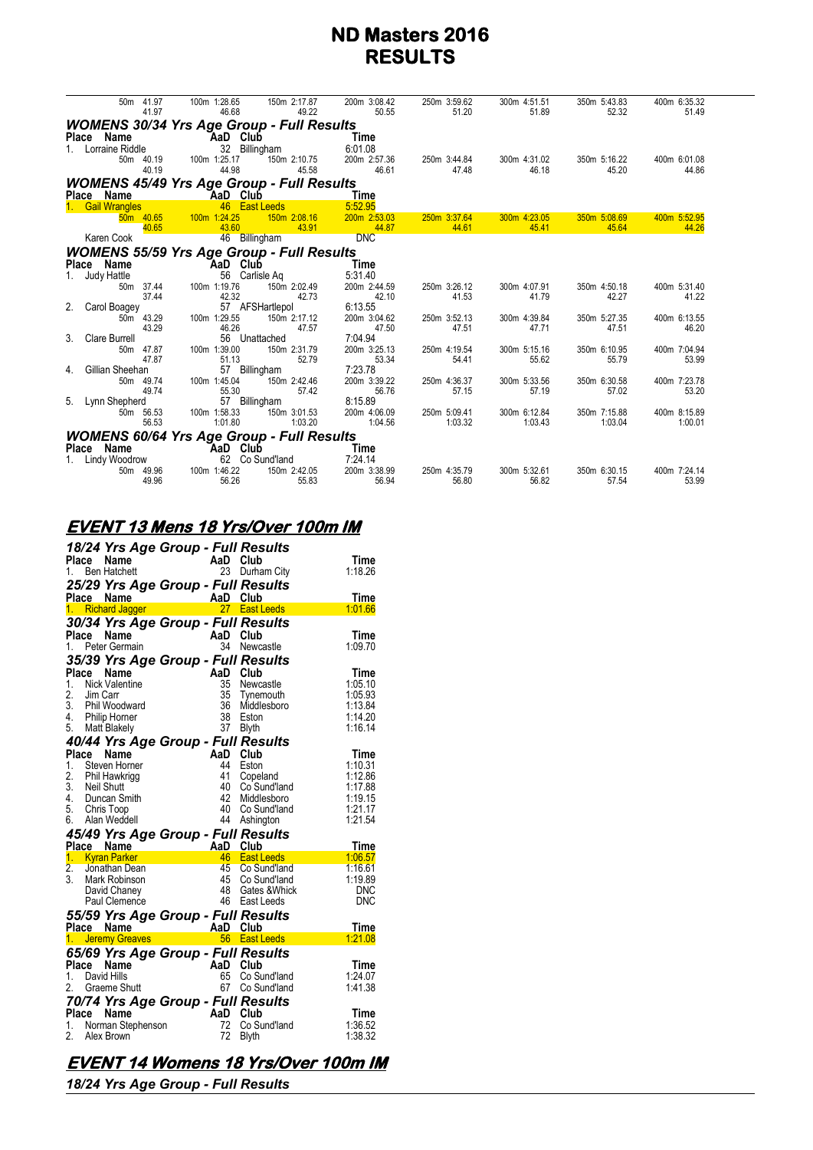|                | 50m 41.97<br>41.97           | 100m 1:28.65<br>46.68                            | 200m 3:08.42<br>150m 2:17.87<br>49.22   | 250m 3:59.62<br>50.55   | 300m 4:51.51<br>51.20<br>51.89     | 350m 5:43.83<br>52.32   | 400m 6:35.32<br>51.49   |
|----------------|------------------------------|--------------------------------------------------|-----------------------------------------|-------------------------|------------------------------------|-------------------------|-------------------------|
|                |                              | <b>WOMENS 30/34 Yrs Age Group - Full Results</b> |                                         |                         |                                    |                         |                         |
|                | Place Name                   | <b>Example 2</b> AaD Club                        | <b>Example 2</b> Time                   |                         |                                    |                         |                         |
|                | Lorraine Riddle              | 32 Billingham                                    | 6:01.08                                 |                         |                                    |                         |                         |
|                | 50m 40.19<br>40.19           | 100m 1:25.17<br>44.98                            | 150m 2:10.75<br>200m 2:57.36<br>45.58   | 250m 3:44.84<br>46.61   | 300m 4:31.02<br>47.48<br>46.18     | 350m 5:16.22<br>45.20   | 400m 6:01.08<br>44.86   |
|                |                              | <b>WOMENS 45/49 Yrs Age Group - Full Results</b> |                                         |                         |                                    |                         |                         |
|                | Place Name                   | <b>Example 2</b> AaD Club                        | <b>Time</b>                             |                         |                                    |                         |                         |
|                | 1. Gail Wrangles             | 46 East Leeds                                    | 5:52.95                                 |                         |                                    |                         |                         |
|                | 40.65                        | 50m 40.65 100m 1:24.25<br>43.60                  | 150m 2:08.16<br>200m 2:53.03<br>43.91   | 250m 3:37.64<br>44.87   | 300m 4:23.05<br>44.61<br>45.41     | 350m 5:08.69<br>45.64   | 400m 5:52.95<br>44.26   |
|                | Karen Cook                   | 46 Billingham                                    | <b>DNC</b>                              |                         |                                    |                         |                         |
|                |                              | <b>WOMENS 55/59 Yrs Age Group - Full Results</b> |                                         |                         |                                    |                         |                         |
|                | Place Name                   |                                                  | Time                                    |                         |                                    |                         |                         |
|                | Judy Hattle                  | AaD Club<br>56 Carlisle<br>56 Carlisle Aq        | 5:31.40                                 |                         |                                    |                         |                         |
|                | 50m 37.44                    | 100m 1:19.76                                     | 150m 2:02.49<br>200m 2:44.59            | 250m 3:26.12            | 300m 4:07.91                       | 350m 4:50.18            | 400m 5:31.40            |
|                | 37.44                        | 42.32                                            | 42.73                                   | 42.10                   | 41.53<br>41.79                     | 42.27                   | 41.22                   |
|                | 2. Carol Boagey<br>50m 43.29 | 57 AFSHartlepol<br>100m 1:29.55                  | 6:13.55<br>150m 2:17.12<br>200m 3:04.62 | 250m 3:52.13            | 300m 4:39.84                       | 350m 5:27.35            | 400m 6:13.55            |
|                | 43.29                        | 46.26                                            | 47.57                                   | 47.50                   | 47.51<br>47.71                     | 47.51                   | 46.20                   |
| 3 <sub>1</sub> | Clare Burrell                | 56 Unattached                                    | 7:04.94                                 |                         |                                    |                         |                         |
|                | 50m 47.87                    | 100m 1:39.00                                     | 150m 2:31.79<br>200m 3:25.13            | 250m 4:19.54            | 300m 5:15.16                       | 350m 6:10.95            | 400m 7:04.94            |
| 4.             | 47.87<br>Gillian Sheehan     | 51.13<br>57 Billingham                           | 52.79<br>7:23.78                        | 53.34                   | 54.41<br>55.62                     | 55.79                   | 53.99                   |
|                | 50m 49.74                    | 100m 1:45.04                                     | 150m 2:42.46<br>200m 3:39.22            | 250m 4:36.37            | 300m 5:33.56                       | 350m 6:30.58            | 400m 7:23.78            |
|                | 49.74                        | 55.30                                            | 57.42                                   | 56.76                   | 57.15<br>57.19                     | 57.02                   | 53.20                   |
|                | 5. Lynn Shepherd             | 57 Billingham                                    | 8:15.89                                 |                         |                                    |                         |                         |
|                | 50m 56.53<br>56.53           | 100m 1:58.33<br>1:01.80                          | 150m 3:01.53<br>200m 4:06.09<br>1:03.20 | 250m 5:09.41<br>1:04.56 | 300m 6:12.84<br>1:03.32<br>1:03.43 | 350m 7:15.88<br>1:03.04 | 400m 8:15.89<br>1:00.01 |
|                |                              |                                                  |                                         |                         |                                    |                         |                         |
|                | Place Name                   | <b>WOMENS 60/64 Yrs Age Group - Full Results</b> | Time                                    |                         |                                    |                         |                         |
|                | 1. Lindy Woodrow             | AaD Club<br>62 Co Sund'land                      | 7:24.14                                 |                         |                                    |                         |                         |
|                | 50m 49.96                    | 100m 1:46.22                                     | 150m 2:42.05<br>200m 3:38.99            | 250m 4:35.79            | 300m 5:32.61                       | 350m 6:30.15            | 400m 7:24.14            |
|                | 49.96                        | 56.26                                            | 55.83                                   | 56.94                   | 56.80<br>56.82                     | 57.54                   | 53.99                   |
|                |                              |                                                  |                                         |                         |                                    |                         |                         |

### **EVENT 13 Mens 18 Yrs/Over 100m IM**

|                      |          | 18/24 Yrs Age Group - Full Results<br>Place Name |                                       |                           |                                    | Time               |
|----------------------|----------|--------------------------------------------------|---------------------------------------|---------------------------|------------------------------------|--------------------|
|                      |          | 1. Ben Hatchett                                  | AaD Club<br>23 Durba                  | 23                        | Durham City                        | 1:18.26            |
|                      |          | 25/29 Yrs Age Group - Full Results               |                                       |                           |                                    |                    |
|                      |          | Place Name<br>1. Richard Jagger                  |                                       |                           | 27 East Leeds                      | Time<br>1:01.66    |
|                      |          | 30/34 Yrs Age Group - Full Results               |                                       |                           |                                    |                    |
| Place                |          | Name                                             |                                       | AaD Club                  |                                    | Time               |
| 1.                   |          | Peter Germain                                    |                                       | 34                        | Newcastle                          | 1:09.70            |
|                      |          | 35/39 Yrs Age Group - Full Results               |                                       |                           |                                    |                    |
|                      | Place    | Name                                             |                                       | AaD Club                  |                                    | Time               |
| 1.<br>2.             | Jim Carr | Nick Valentine                                   |                                       | 35                        | Newcastle                          | 1:05.10<br>1:05.93 |
|                      |          | 3. Phil Woodward                                 |                                       | 36 <sup>2</sup>           | 35 Tynemouth<br>Middlesboro        | 1:13.84            |
|                      |          | 4. Philip Horner                                 |                                       | 38                        | Eston                              | 1:14.20            |
| 5.                   |          | Matt Blakely                                     |                                       | 37                        | <b>Blyth</b>                       | 1:16.14            |
|                      |          | 40/44 Yrs Age Group - Full Results               |                                       |                           |                                    |                    |
| Place                |          | Name                                             |                                       | AaD                       | Club                               | Time               |
| 1.                   |          | Steven Horner                                    |                                       | 44<br>41                  | Eston                              | 1:10.31            |
| 2.                   |          | Phil Hawkrigg<br>3. Neil Shutt                   |                                       | 40                        | Copeland<br>Co Sund'Iand           | 1:12.86<br>1:17.88 |
|                      |          | 4. Duncan Smith                                  |                                       | 42                        | Middlesboro                        | 1:19.15            |
|                      |          | 5. Chris Toop                                    |                                       | 40                        | Co Sund'land                       | 1:21.17            |
|                      |          | 6. Alan Weddell                                  |                                       |                           | 44 Ashington                       | 1:21.54            |
|                      |          |                                                  |                                       |                           |                                    |                    |
|                      |          |                                                  |                                       |                           | 45/49 Yrs Age Group - Full Results |                    |
|                      |          | Place Name                                       |                                       | <b>Example 2</b> AaD Club |                                    | Time               |
|                      |          | 1. Kyran Parker                                  |                                       | 46                        | <b>East Leeds</b>                  | 1:06.57            |
| 2.<br>3 <sub>1</sub> |          | Jonathan Dean<br>Mark Robinson                   |                                       | 45<br>45                  | Co Sund'land<br>Co Sund'land       | 1:16.61<br>1:19.89 |
|                      |          | David Chaney                                     |                                       | 48                        | Gates & Whick                      | <b>DNC</b>         |
|                      |          | Paul Clemence                                    |                                       |                           | 46 East Leeds                      | DNC                |
|                      |          | 55/59 Yrs Age Group - Full Results               |                                       |                           |                                    |                    |
|                      |          | Place Name                                       |                                       |                           |                                    | Time               |
| 1.                   |          | <b>Jeremy Greaves</b>                            | s <mark>AaD Club</mark><br>S 56 Eastl |                           | 56 East Leeds                      | 1:21.08            |
|                      |          | 65/69 Yrs Age Group - Full Results               |                                       |                           |                                    |                    |
| <b>Place</b><br>1.   |          | Name<br>David Hills                              |                                       | AaD<br>65                 | Club                               | Time               |
| 2.                   |          | Graeme Shutt                                     |                                       | 67                        | Co Sund'land<br>Co Sund'land       | 1:24.07<br>1:41.38 |
|                      |          |                                                  |                                       |                           |                                    |                    |
|                      |          | 70/74 Yrs Age Group - Full Results<br>Place Name |                                       |                           | Club                               | Time               |
|                      |          | 1. Norman Stephenson                             |                                       | AaD<br>72                 | Co Sund'land                       | 1:36.52            |
| 2.                   |          | Alex Brown                                       |                                       | 72                        | <b>Blyth</b>                       | 1:38.32            |

# **EVENT 14 Womens 18 Yrs/Over 100m IM**

*18/24 Yrs Age Group - Full Results*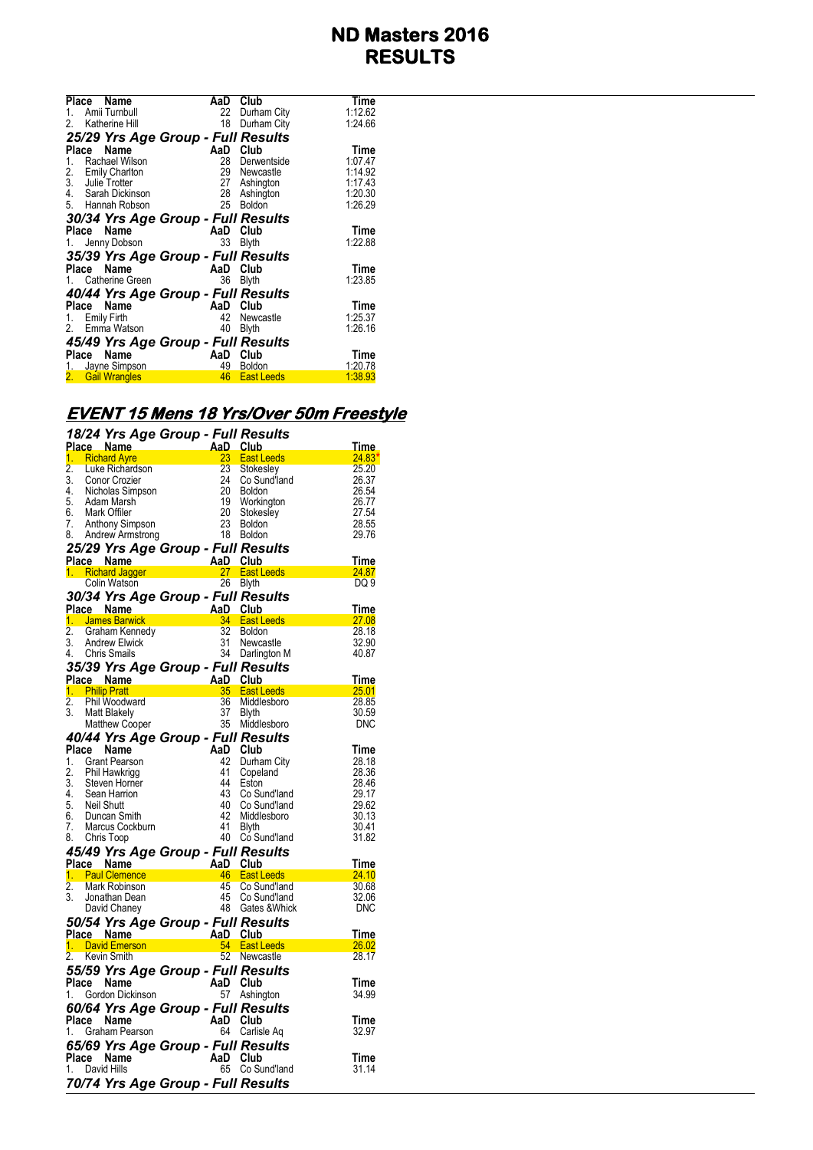| Place<br>Name                      | AaD | Club              | Time    |
|------------------------------------|-----|-------------------|---------|
| Amii Turnbull<br>1.                | 22  | Durham City       | 1:12.62 |
| 2. Katherine Hill                  | 18  | Durham City       | 1:24.66 |
| 25/29 Yrs Age Group - Full Results |     |                   |         |
| Name<br>Place                      | AaD | Club              | Time    |
| Rachael Wilson<br>1.               | 28  | Derwentside       | 1:07.47 |
| <b>Emily Charlton</b><br>2.        |     | 29 Newcastle      | 1:14.92 |
| $\overline{3}$ .<br>Julie Trotter  | 27  | Ashington         | 1:17.43 |
| 4. Sarah Dickinson                 |     | 28 Ashington      | 1:20.30 |
| 5. Hannah Robson                   | 25  | <b>Boldon</b>     | 1:26.29 |
| 30/34 Yrs Age Group - Full Results |     |                   |         |
| Name<br>Place                      |     | AaD Club          | Time    |
| 1. Jenny Dobson                    | 33  | <b>Blyth</b>      | 1:22.88 |
| 35/39 Yrs Age Group - Full Results |     |                   |         |
| Place Name                         | AaD | Club              | Time    |
| 1. Catherine Green                 | 36  | <b>Blyth</b>      | 1:23.85 |
| 40/44 Yrs Age Group - Full Results |     |                   |         |
| Place Name                         | AaD | Club              | Time    |
| 1. Emily Firth                     | 42  | Newcastle         | 1:25.37 |
| 2. Emma Watson                     | 40  | <b>Blyth</b>      | 1:26.16 |
| 45/49 Yrs Age Group - Full Results |     |                   |         |
| Place<br>Name                      | AaD | Club              | Time    |
| 1. Jayne Simpson                   | 49  | <b>Boldon</b>     | 1:20.78 |
| <b>Gail Wrangles</b><br>2.         | 46  | <b>East Leeds</b> | 1:38.93 |
|                                    |     |                   |         |

# **EVENT 15 Mens 18 Yrs/Over 50m Freestyle**

|                        | 18/24 Yrs Age Group - Full Results                                                                    |                                                                                                       |                                     |                                                                                                                                                       |                   |
|------------------------|-------------------------------------------------------------------------------------------------------|-------------------------------------------------------------------------------------------------------|-------------------------------------|-------------------------------------------------------------------------------------------------------------------------------------------------------|-------------------|
|                        | Place Name                                                                                            | AD Club<br>AD Club<br>23 East Lub<br>23 Stokes<br>24 Co Suldor<br>20 Boldor<br>19 Workin              |                                     |                                                                                                                                                       | <u>Time.</u>      |
|                        | 1. Richard Ayre                                                                                       |                                                                                                       |                                     | East Leeds <b>East Leeds</b>                                                                                                                          | 24.83             |
| $\overline{2}$ .<br>3. | Luke Richardson                                                                                       |                                                                                                       |                                     | Stokesley                                                                                                                                             | 25.20             |
|                        | Conor Crozier<br>4. Nicholas Simpson                                                                  |                                                                                                       |                                     | Co Sund'land<br>Boldon                                                                                                                                | 26.37<br>26.54    |
|                        | 5. Adam Marsh                                                                                         |                                                                                                       | 19                                  | Workington                                                                                                                                            | 26.77             |
|                        |                                                                                                       |                                                                                                       |                                     | Stokesley                                                                                                                                             | 27.54             |
|                        | 6. Mark Offiler<br>7. Anthony Simpson                                                                 |                                                                                                       |                                     |                                                                                                                                                       | 28.55             |
|                        | 8. Andrew Armstrong                                                                                   |                                                                                                       | 20 Stokes<br>23 Boldon<br>18 Boldon |                                                                                                                                                       | 29.76             |
|                        | 25/29 Yrs Age Group - Full Results                                                                    |                                                                                                       |                                     |                                                                                                                                                       |                   |
|                        |                                                                                                       |                                                                                                       |                                     |                                                                                                                                                       | Time              |
|                        |                                                                                                       |                                                                                                       |                                     | <b>East Leeds</b>                                                                                                                                     | 24.87             |
|                        | <b>Place Name AaD Club</b><br><b>1. Richard Jagger 27 East L</b><br>Colin Watson 26 Blyth             |                                                                                                       |                                     | 26 Blyth                                                                                                                                              | DQ 9              |
|                        | 30/34 Yrs Age Group - Full Results                                                                    |                                                                                                       |                                     |                                                                                                                                                       |                   |
|                        |                                                                                                       |                                                                                                       |                                     | <b>Place Name AaD Club</b><br><b>1. James Banvick 2.</b> Graham Kennedy 32 Boldon<br>3. Andrew Elwick 31 Newcastle<br>4. Chris Smails 34 Darlington M | Time              |
|                        |                                                                                                       |                                                                                                       |                                     |                                                                                                                                                       | 27.08             |
|                        |                                                                                                       |                                                                                                       |                                     |                                                                                                                                                       | 28.18             |
|                        |                                                                                                       |                                                                                                       |                                     |                                                                                                                                                       | 32.90             |
|                        | 4. Chris Smails                                                                                       |                                                                                                       |                                     |                                                                                                                                                       | 40.87             |
|                        | 35/39 Yrs Age Group - Full Results                                                                    |                                                                                                       |                                     |                                                                                                                                                       |                   |
|                        | <b>Place Name</b><br>1 Philip Pratt                                                                   |                                                                                                       |                                     |                                                                                                                                                       | Time              |
|                        |                                                                                                       |                                                                                                       |                                     | AaD Club<br>35 East Leeds<br>36 Middlesboro                                                                                                           | <u>25.01 Page</u> |
| 2.                     | Phil Woodward                                                                                         |                                                                                                       |                                     |                                                                                                                                                       | 28.85             |
| 3.                     | Matt Blakely                                                                                          |                                                                                                       | 37<br>35                            | <b>Blyth</b>                                                                                                                                          | 30.59             |
|                        | Matthew Cooper                                                                                        |                                                                                                       |                                     | Middlesboro                                                                                                                                           | <b>DNC</b>        |
|                        | 40/44 Yrs Age Group - Full Results                                                                    |                                                                                                       |                                     |                                                                                                                                                       |                   |
|                        | Place Name                                                                                            |                                                                                                       | AaD Club                            |                                                                                                                                                       | Time              |
| 2.                     | 1. Grant Pearson<br>Phil Hawkrigg                                                                     |                                                                                                       | 42<br>41                            | Durham City                                                                                                                                           | 28.18<br>28.36    |
|                        |                                                                                                       |                                                                                                       | 44                                  | Copeland<br>Eston                                                                                                                                     | 28.46             |
|                        | 3. Steven Horner<br>4. Sean Harrion<br>5. Neil Shutt                                                  |                                                                                                       | 43                                  | Co Sund'land                                                                                                                                          | 29.17             |
|                        |                                                                                                       |                                                                                                       | 40                                  | Co Sund'land                                                                                                                                          | 29.62             |
|                        | 6. Duncan Smith                                                                                       |                                                                                                       | 42                                  | Middlesboro                                                                                                                                           | 30.13             |
| 7.                     | Marcus Cockburn                                                                                       |                                                                                                       | 41                                  | <b>Blyth</b>                                                                                                                                          | 30.41             |
|                        | 8. Chris Toop                                                                                         |                                                                                                       |                                     | 40 Co Sund'land                                                                                                                                       | 31.82             |
|                        | 45/49 Yrs Age Group - Full Results                                                                    |                                                                                                       |                                     |                                                                                                                                                       |                   |
|                        | Place Name                                                                                            | $A$ and $A$ Club<br>$A$ and Club<br>$A$ <sup>6</sup> East L<br>$45$ Co Su<br>$45$ Co Su<br>$48$ Gates |                                     |                                                                                                                                                       | Time              |
|                        | 1. Paul Clemence                                                                                      |                                                                                                       |                                     | <b>East Leeds</b>                                                                                                                                     | 24.10             |
| $\overline{2}$ .<br>3. | Mark Robinson<br>Jonathan Dean                                                                        |                                                                                                       |                                     | Co Sund'land<br>45 Co Sund'land                                                                                                                       | 30.68<br>32.06    |
|                        | David Chaney                                                                                          |                                                                                                       |                                     | 48 Gates & Whick                                                                                                                                      | <b>DNC</b>        |
|                        |                                                                                                       |                                                                                                       |                                     |                                                                                                                                                       |                   |
|                        | 50/54 Yrs Age Group - Full Results                                                                    |                                                                                                       |                                     |                                                                                                                                                       | Time              |
|                        | Place Name <b>Capacit AaD Club</b><br>1. David Emerson <b>Capacit A. East Leeds</b><br>2. Kovin Smith |                                                                                                       |                                     |                                                                                                                                                       | 26.02             |
| 2.                     | Kevin Smith                                                                                           |                                                                                                       | 52                                  | Newcastle                                                                                                                                             | 28.17             |
|                        | 55/59 Yrs Age Group - Full Results                                                                    |                                                                                                       |                                     |                                                                                                                                                       |                   |
|                        |                                                                                                       |                                                                                                       |                                     |                                                                                                                                                       | Time              |
|                        | Place Name The AaD Club<br>1. Gordon Dickinson 57 Ashing                                              |                                                                                                       |                                     | 57 Ashington                                                                                                                                          | 34.99             |
|                        | 60/64 Yrs Age Group - Full Results                                                                    |                                                                                                       |                                     |                                                                                                                                                       |                   |
|                        |                                                                                                       |                                                                                                       |                                     |                                                                                                                                                       | Time              |
|                        | riace Name The AaD Club<br>1. Graham Pearson 64 Carlis<br>65/60 Yos 4                                 |                                                                                                       |                                     | 64 Carlisle Aq                                                                                                                                        | 32.97             |
|                        |                                                                                                       |                                                                                                       |                                     |                                                                                                                                                       |                   |
|                        | 65/69 Yrs Age Group - Full Results                                                                    |                                                                                                       |                                     |                                                                                                                                                       |                   |
|                        | Place Name<br>1. David Hills                                                                          |                                                                                                       | AaD Club                            | 65 Co Sund'land                                                                                                                                       | Time<br>31.14     |
|                        |                                                                                                       |                                                                                                       |                                     |                                                                                                                                                       |                   |
|                        | 70/74 Yrs Age Group - Full Results                                                                    |                                                                                                       |                                     |                                                                                                                                                       |                   |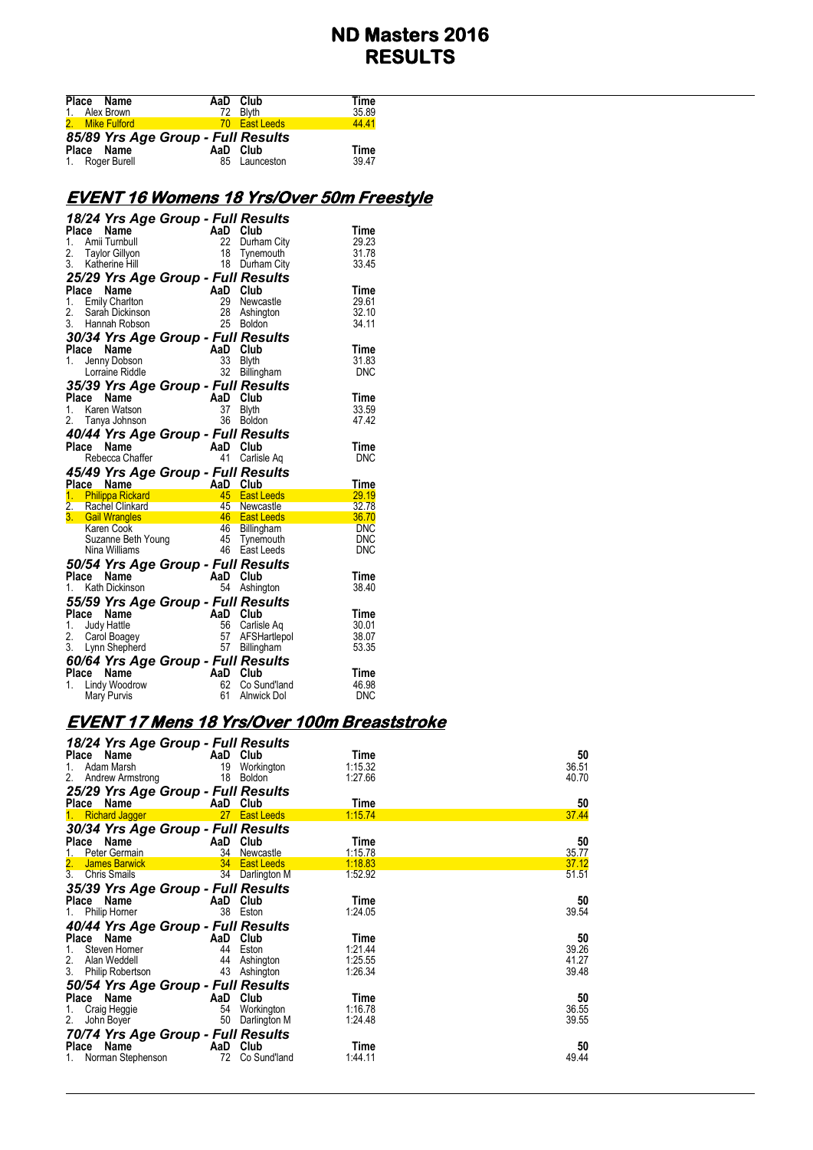| Place Name<br>1. Alex Brown        | AaD Club | 72 Blyth      | Time<br>35.89 |
|------------------------------------|----------|---------------|---------------|
| 2. Mike Fulford                    |          | 70 East Leeds | 44.41         |
| 85/89 Yrs Age Group - Full Results |          |               |               |
| Place Name                         | AaD Club |               | Time          |
| 1. Roger Burell                    |          | 85 Launceston | 39.47         |

### **EVENT 16 Womens 18 Yrs/Over 50m Freestyle**

|              |       | 18/24 Yrs Age Group - Full Results                                               |                                    |                |                               |                     |
|--------------|-------|----------------------------------------------------------------------------------|------------------------------------|----------------|-------------------------------|---------------------|
|              | Place | Name                                                                             |                                    | AaD Club       |                               | Time                |
| 1.           |       | Amii Turnbull                                                                    |                                    | 22             | Durham City                   | 29.23               |
| 2.<br>3.     |       | Taylor Gillyon                                                                   |                                    | 18             | Tynemouth                     | 31.78               |
|              |       | Katherine Hill                                                                   |                                    |                | 18 Durham City                | 33.45               |
|              |       | 25/29 Yrs Age Group - Full Results                                               |                                    |                |                               |                     |
|              |       | Place Name                                                                       |                                    | AaD Club       |                               | Time                |
|              |       | 1. Emily Charlton                                                                |                                    | 29             | Newcastle                     | 29.61               |
| 2.           |       | Sarah Dickinson                                                                  |                                    | 28             | Ashington                     | 32.10               |
|              |       | 3. Hannah Robson                                                                 |                                    |                | 25 Boldon                     | 34.11               |
|              |       | 30/34 Yrs Age Group - Full Results                                               |                                    |                |                               |                     |
|              |       | Place Name                                                                       | AaD Club<br>$33$ Rhth              |                |                               | Time                |
| 1.           |       | Jenny Dobson                                                                     |                                    |                |                               | 31.83               |
|              |       | Lorraine Riddle                                                                  |                                    | 32             | Billingham                    | <b>DNC</b>          |
|              |       | 35/39 Yrs Age Group - Full Results                                               |                                    |                |                               |                     |
| <b>Place</b> |       | Name                                                                             |                                    | AaD Club       |                               | Time                |
| 1.           |       | Karen Watson                                                                     |                                    | 37             | <b>Blyth</b>                  | 33.59               |
|              |       | 2. Tanya Johnson                                                                 |                                    | 36             | <b>Boldon</b>                 | 47.42               |
|              |       | 40/44 Yrs Age Group - Full Results                                               |                                    |                |                               |                     |
|              |       | Place Name                                                                       |                                    | AaD Club       |                               | Time                |
|              |       |                                                                                  |                                    |                |                               |                     |
|              |       |                                                                                  |                                    |                |                               |                     |
|              |       | Rebecca Chaffer                                                                  |                                    | 41             | Carlisle Ag                   | <b>DNC</b>          |
|              |       | 45/49 Yrs Age Group - Full Results                                               |                                    |                |                               |                     |
|              |       | Place Name                                                                       | AaD Club                           |                |                               | Time                |
|              |       | 1. Philippa Rickard                                                              |                                    |                | 45 East Leeds                 | 29.19               |
|              |       | 2. Rachel Clinkard                                                               |                                    |                |                               | 32.78               |
|              |       | 3. Gail Wrangles                                                                 | d<br>45 Newcastle<br>46 East Leeds |                |                               | 36.70<br><b>DNC</b> |
|              |       |                                                                                  |                                    |                |                               | <b>DNC</b>          |
|              |       |                                                                                  |                                    |                | 45 Tynemouth<br>46 East Leeds | <b>DNC</b>          |
|              |       | Suzanne Beth Young<br>Suzanne Beth Young<br>Nina Williams<br><b>15.4 V</b> x = 1 |                                    |                |                               |                     |
|              | Place | 50/54 Yrs Age Group - Full Results<br>Name                                       |                                    | AaD Club       |                               | Time                |
| 1.           |       | Kath Dickinson                                                                   |                                    | 54             |                               | 38.40               |
|              |       |                                                                                  |                                    |                | Ashington                     |                     |
|              |       | 55/59 Yrs Age Group - Full Results                                               |                                    |                |                               |                     |
| Place        |       | Name                                                                             |                                    | AaD Club       |                               | Time                |
| 1.           |       | Judy Hattle                                                                      |                                    | 56             | Carlisle Aq                   | 30.01<br>38.07      |
| 2.           |       | Carol Boagey                                                                     |                                    |                | 57 AFSHartlepol               | 53.35               |
|              |       | 3. Lynn Shepherd                                                                 |                                    |                | 57 Billingham                 |                     |
|              |       | 60/64 Yrs Age Group - Full Results                                               |                                    |                |                               |                     |
| 1.           |       | Place Name<br>Lindy Woodrow                                                      |                                    | AaD Club<br>62 | Co Sund'land                  | Time<br>46.98       |

#### **EVENT 17 Mens 18 Yrs/Over 100m Breaststroke**

| 18/24 Yrs Age Group - Full Results |          |                 |         |       |
|------------------------------------|----------|-----------------|---------|-------|
| Place<br>Name                      | AaD Club |                 | Time    | 50    |
| 1.<br>Adam Marsh                   | 19       | Workington      | 1:15.32 | 36.51 |
| 2. Andrew Armstrong                | 18       | Boldon          | 1:27.66 | 40.70 |
| 25/29 Yrs Age Group - Full Results |          |                 |         |       |
| Place Name                         | AaD Club |                 | Time    | 50    |
| <b>Richard Jagger</b><br>1.        |          | 27 East Leeds   | 1:15.74 | 37.44 |
| 30/34 Yrs Age Group - Full Results |          |                 |         |       |
| Place Name                         | AaD Club |                 | Time    | 50    |
| Peter Germain<br>1.                | 34       | Newcastle       | 1:15.78 | 35.77 |
| 2. James Barwick                   |          | 34 East Leeds   | 1:18.83 | 37.12 |
| 3.<br><b>Chris Smails</b>          |          | 34 Darlington M | 1:52.92 | 51.51 |
| 35/39 Yrs Age Group - Full Results |          |                 |         |       |
| Place Name                         | AaD Club |                 | Time    | 50    |
| 1.<br>Philip Homer                 | 38 Eston |                 | 1:24.05 | 39.54 |
| 40/44 Yrs Age Group - Full Results |          |                 |         |       |
| Place Name                         | AaD Club |                 | Time    | 50    |
| Steven Horner<br>1.                | 44       | Eston           | 1:21.44 | 39.26 |
| 2. Alan Weddell                    |          | 44 Ashington    | 1:25.55 | 41.27 |
| 3.<br>Philip Robertson             |          | 43 Ashington    | 1:26.34 | 39.48 |
| 50/54 Yrs Age Group - Full Results |          |                 |         |       |
| Place Name                         | AaD Club |                 | Time    | 50    |
| 1.<br>Craig Heggie                 |          | 54 Workington   | 1:16.78 | 36.55 |
| 2.<br>John Boyer                   | 50       | Darlington M    | 1:24.48 | 39.55 |
| 70/74 Yrs Age Group - Full Results |          |                 |         |       |
| Place Name                         | AaD      | Club            | Time    | 50    |
| 1. Norman Stephenson               | 72       | Co Sund'land    | 1:44.11 | 49.44 |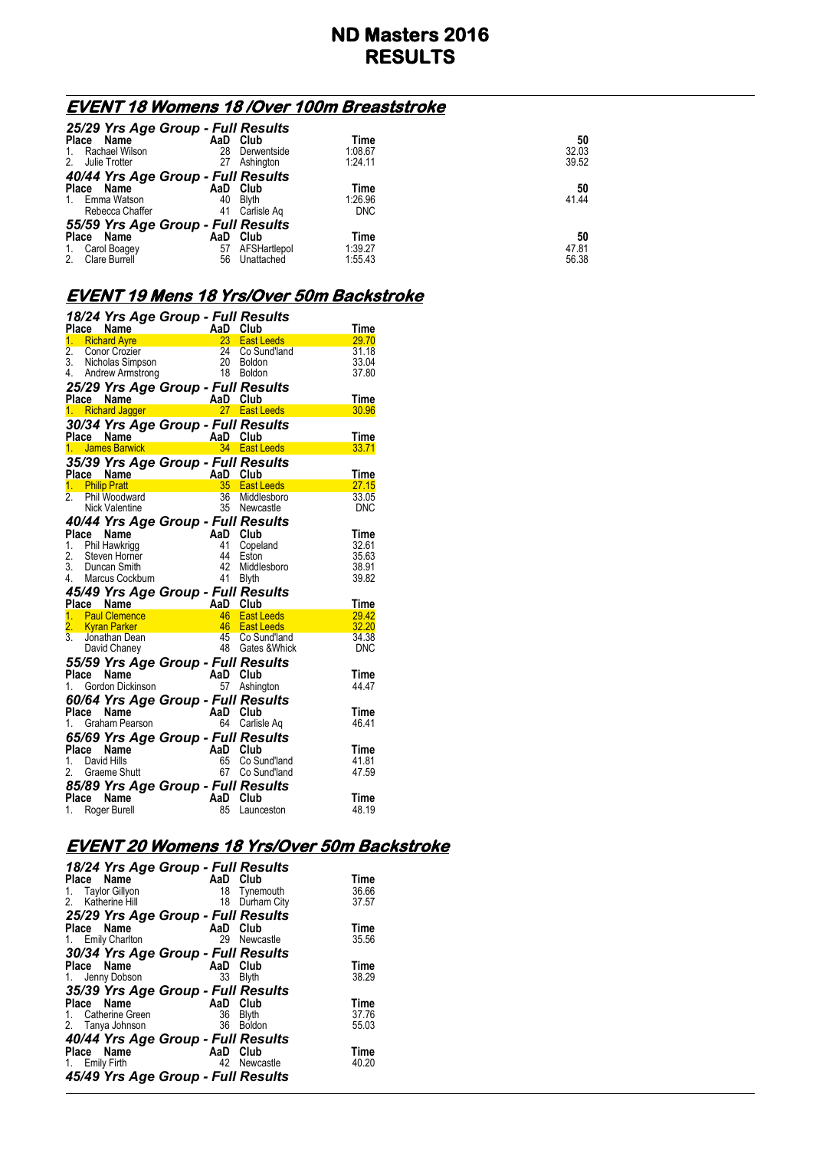## **EVENT 18 Womens 18 /Over 100m Breaststroke**

| 25/29 Yrs Age Group - Full Results |     |              |            |       |  |
|------------------------------------|-----|--------------|------------|-------|--|
| Place<br>Name                      |     | AaD Club     | Time       | 50    |  |
| 1. Rachael Wilson                  | 28  | Derwentside  | 1:08.67    | 32.03 |  |
| 2. Julie Trotter                   | 27  | Ashington    | 1:24.11    | 39.52 |  |
| 40/44 Yrs Age Group - Full Results |     |              |            |       |  |
| Place Name                         |     | AaD Club     | Time       | 50    |  |
| 1. Emma Watson                     | 40  | <b>Blvth</b> | 1.26.96    | 41.44 |  |
| Rebecca Chaffer                    | 41  | Carlisle Ag  | <b>DNC</b> |       |  |
| 55/59 Yrs Age Group - Full Results |     |              |            |       |  |
| Place<br>Name                      | AaD | Club         | Time       | 50    |  |
| 1. Carol Boagey                    | 57  | AFSHartlepol | 1:39.27    | 47.81 |  |
| 2.<br>Clare Burrell                | 56  | Unattached   | 1:55.43    | 56.38 |  |
|                                    |     |              |            |       |  |

# **EVENT 19 Mens 18 Yrs/Over 50m Backstroke**

|                  |       |                                                                                                                                                                                                                                       |                                  |    | 18/24 Yrs Age Group - Full Results                    |               |
|------------------|-------|---------------------------------------------------------------------------------------------------------------------------------------------------------------------------------------------------------------------------------------|----------------------------------|----|-------------------------------------------------------|---------------|
|                  |       | Place Name                                                                                                                                                                                                                            |                                  |    |                                                       | Time          |
|                  |       | 1. Richard Ayre                                                                                                                                                                                                                       |                                  |    | 23 East Leeds<br>24 Co Sund'land                      | 29.70         |
| $\overline{2}$ . |       | 2. Conor Crozier 124 Co Sun<br>3. Nicholas Simpson 120 Boldon<br>4. Andrew Armstrong 18 Boldon                                                                                                                                        |                                  |    |                                                       | 31.18         |
|                  |       |                                                                                                                                                                                                                                       |                                  |    |                                                       | 33.04         |
|                  |       |                                                                                                                                                                                                                                       |                                  |    |                                                       | 37.80         |
|                  |       | 25/29 Yrs Age Group - Full Results                                                                                                                                                                                                    |                                  |    |                                                       |               |
|                  |       |                                                                                                                                                                                                                                       |                                  |    |                                                       | Time          |
|                  |       | Place Name<br>1. Richard Jagger <b>AaD</b> Club<br>1. Richard Jagger <b>27</b> East Leeds                                                                                                                                             |                                  |    |                                                       | 30.96         |
|                  |       |                                                                                                                                                                                                                                       |                                  |    |                                                       |               |
|                  |       |                                                                                                                                                                                                                                       |                                  |    |                                                       |               |
|                  |       |                                                                                                                                                                                                                                       |                                  |    |                                                       | Time          |
|                  |       |                                                                                                                                                                                                                                       |                                  |    |                                                       | 33.71         |
|                  |       | 35/39 Yrs Age Group - Full Results                                                                                                                                                                                                    |                                  |    |                                                       |               |
|                  |       | Place Name<br>1. Philip Pratt<br>2. Phil Woodward<br>2. Phil Woodward<br>2. Phil Woodward<br>2. Phil Woodward<br>35 Newcastle<br>35 Newcastle                                                                                         |                                  |    |                                                       | Time          |
|                  |       |                                                                                                                                                                                                                                       |                                  |    |                                                       | 27.15         |
|                  |       |                                                                                                                                                                                                                                       |                                  |    | 36 Middlesboro                                        | 33.05         |
|                  |       |                                                                                                                                                                                                                                       |                                  |    |                                                       | DNC           |
|                  |       | 40/44 Yrs Age Group - Full Results                                                                                                                                                                                                    |                                  |    |                                                       |               |
|                  |       | Place Name                                                                                                                                                                                                                            |                                  |    |                                                       | Time          |
|                  |       | 1. Phil Hawkrigg                                                                                                                                                                                                                      |                                  |    | AaD Club<br>41 Copeland<br>44 Eston<br>42 Middlesboro | 32.61         |
|                  |       |                                                                                                                                                                                                                                       |                                  |    |                                                       | 35.63         |
|                  |       | 2. Steven Horner<br>3. Duncan Smith                                                                                                                                                                                                   |                                  |    |                                                       | 38.91         |
|                  |       |                                                                                                                                                                                                                                       |                                  |    |                                                       |               |
|                  |       |                                                                                                                                                                                                                                       |                                  |    |                                                       |               |
|                  |       | 4. Marcus Cockburn                                                                                                                                                                                                                    |                                  |    | 41 Blyth                                              | 39.82         |
|                  |       |                                                                                                                                                                                                                                       |                                  |    |                                                       |               |
|                  |       |                                                                                                                                                                                                                                       |                                  |    |                                                       | <b>Time</b>   |
|                  |       |                                                                                                                                                                                                                                       |                                  |    |                                                       | 29.42         |
|                  |       |                                                                                                                                                                                                                                       |                                  |    |                                                       | 32.20         |
|                  |       |                                                                                                                                                                                                                                       |                                  |    |                                                       | 34.38         |
|                  |       | <b>45/49 Yrs Age Group - Full Results<br/> Place Name AaD Club<br/> 1. Paul Clemence 46 East Leeds<br/> 2. Kyran Parker 46 East Leeds<br/> 3. Jonathan Dean 45 Co Sund'land<br/> David Chaney 48 Gates &amp; Whic</b><br>David Chaney |                                  |    | 45 Co Sund'land<br>48 Gates & Whick                   | <b>DNC</b>    |
|                  |       | 55/59 Yrs Age Group - Full Results                                                                                                                                                                                                    |                                  |    |                                                       |               |
|                  |       | Place Name                                                                                                                                                                                                                            |                                  |    |                                                       | Time          |
| 1.               |       |                                                                                                                                                                                                                                       |                                  |    | 57 Ashington                                          | 44.47         |
|                  |       | Gordon Dickinson<br>Gordon Dickinson<br>CAN                                                                                                                                                                                           |                                  |    |                                                       |               |
|                  |       | 60/64 Yrs Age Group - Full Results                                                                                                                                                                                                    |                                  |    |                                                       | Time          |
|                  |       |                                                                                                                                                                                                                                       |                                  |    |                                                       | 46.41         |
|                  |       | The <b>Name</b><br>1. Graham Pearson<br><b>CEMP TE ANN DE CALLACTER</b>                                                                                                                                                               |                                  |    | 64 Carlisle Aq                                        |               |
|                  |       | 65/69 Yrs Age Group - Full Results                                                                                                                                                                                                    |                                  |    |                                                       |               |
|                  |       | Place Name                                                                                                                                                                                                                            |                                  |    |                                                       | Time          |
| 1.               |       | David Hills                                                                                                                                                                                                                           |                                  |    | Co Sund'land                                          | 41.81         |
|                  |       | 2. Graeme Shutt                                                                                                                                                                                                                       | AaD Club<br>65 Co Su<br>67 Co Su |    | 67 Co Sund'land                                       | 47.59         |
|                  |       | 85/89 Yrs Age Group - Full Results                                                                                                                                                                                                    |                                  |    |                                                       |               |
|                  | Place | Name<br>1. Roger Burell                                                                                                                                                                                                               | AaD Club                         | 85 | Launceston                                            | Time<br>48.19 |

#### **EVENT 20 Womens 18 Yrs/Over 50m Backstroke**

| 18/24 Yrs Age Group - Full Results |          |              |       |
|------------------------------------|----------|--------------|-------|
| Place Name                         | AaD Club |              | Time  |
| Taylor Gillyon<br>1.               |          | 18 Tynemouth | 36.66 |
| 2. Katherine Hill                  | 18       | Durham City  | 37.57 |
| 25/29 Yrs Age Group - Full Results |          |              |       |
| Place Name                         | AaD Club |              | Time  |
| 1. Emily Charlton                  |          | 29 Newcastle | 35.56 |
| 30/34 Yrs Age Group - Full Results |          |              |       |
| Place Name                         | AaD Club |              | Time  |
| 1. Jenny Dobson                    | 33       | <b>Blyth</b> | 38.29 |
| 35/39 Yrs Age Group - Full Results |          |              |       |
| Place Name                         | AaD Club |              | Time  |
| 1. Catherine Green                 | 36       | <b>Blyth</b> | 37.76 |
| 2. Tanya Johnson                   |          | 36 Boldon    | 55.03 |
|                                    |          |              |       |
| 40/44 Yrs Age Group - Full Results |          |              |       |
| Place Name                         | AaD Club |              | Time  |
| 1. Emily Firth                     |          | 42 Newcastle | 40.20 |
| 45/49 Yrs Age Group - Full Results |          |              |       |
|                                    |          |              |       |